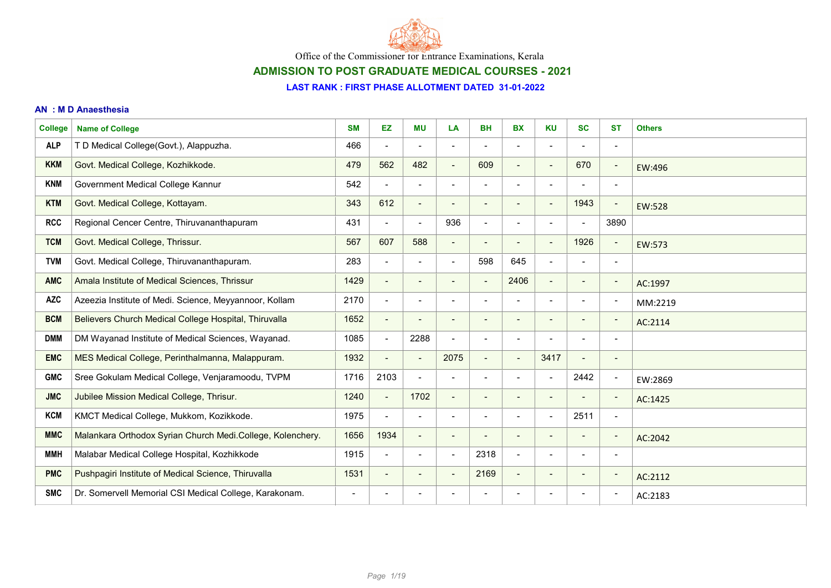

## ADMISSION TO POST GRADUATE MEDICAL COURSES - 2021

#### LAST RANK : FIRST PHASE ALLOTMENT DATED 31-01-2022

#### AN : M D Anaesthesia

| <b>College</b> | <b>Name of College</b>                                     | <b>SM</b>      | <b>EZ</b>                | <b>MU</b>                | LA                           | <b>BH</b>                | <b>BX</b>                | <b>KU</b>                | <b>SC</b>                | <b>ST</b>                | <b>Others</b> |
|----------------|------------------------------------------------------------|----------------|--------------------------|--------------------------|------------------------------|--------------------------|--------------------------|--------------------------|--------------------------|--------------------------|---------------|
| <b>ALP</b>     | T D Medical College(Govt.), Alappuzha.                     | 466            | $\overline{\phantom{a}}$ |                          |                              |                          |                          | $\overline{\phantom{a}}$ |                          | $\overline{\phantom{a}}$ |               |
| <b>KKM</b>     | Govt. Medical College, Kozhikkode.                         | 479            | 562                      | 482                      | $\overline{\phantom{0}}$     | 609                      |                          | $\qquad \qquad$          | 670                      | $\overline{\phantom{a}}$ | EW:496        |
| <b>KNM</b>     | Government Medical College Kannur                          | 542            | $\blacksquare$           | $\blacksquare$           | $\blacksquare$               | $\blacksquare$           | $\blacksquare$           | $\overline{\phantom{a}}$ | $\overline{\phantom{a}}$ | $\overline{\phantom{a}}$ |               |
| <b>KTM</b>     | Govt. Medical College, Kottayam.                           | 343            | 612                      | $\blacksquare$           | $\qquad \qquad \blacksquare$ | $\overline{\phantom{0}}$ | $\blacksquare$           | $\overline{\phantom{a}}$ | 1943                     | $\overline{\phantom{a}}$ | EW:528        |
| <b>RCC</b>     | Regional Cencer Centre, Thiruvananthapuram                 | 431            | $\blacksquare$           | $\blacksquare$           | 936                          | $\blacksquare$           |                          | $\overline{\phantom{a}}$ |                          | 3890                     |               |
| <b>TCM</b>     | Govt. Medical College, Thrissur.                           | 567            | 607                      | 588                      | $\qquad \qquad \blacksquare$ |                          |                          | $\overline{\phantom{a}}$ | 1926                     | $\overline{\phantom{a}}$ | EW:573        |
| <b>TVM</b>     | Govt. Medical College, Thiruvananthapuram.                 | 283            | $\overline{\phantom{a}}$ | $\overline{\phantom{a}}$ | $\overline{\phantom{a}}$     | 598                      | 645                      | $\blacksquare$           | $\overline{\phantom{a}}$ | $\blacksquare$           |               |
| <b>AMC</b>     | Amala Institute of Medical Sciences, Thrissur              | 1429           | $\overline{\phantom{a}}$ | $\overline{\phantom{a}}$ | $\qquad \qquad$              | $\blacksquare$           | 2406                     | $\blacksquare$           | $\overline{\phantom{a}}$ | $\overline{\phantom{a}}$ | AC:1997       |
| <b>AZC</b>     | Azeezia Institute of Medi. Science, Meyyannoor, Kollam     | 2170           | $\blacksquare$           | $\overline{\phantom{0}}$ |                              |                          |                          | $\overline{\phantom{0}}$ |                          | $\overline{\phantom{a}}$ | MM:2219       |
| <b>BCM</b>     | Believers Church Medical College Hospital, Thiruvalla      | 1652           | $\blacksquare$           | $\overline{\phantom{0}}$ | $\overline{\phantom{0}}$     |                          |                          | $\overline{\phantom{0}}$ |                          | $\overline{\phantom{a}}$ | AC:2114       |
| <b>DMM</b>     | DM Wayanad Institute of Medical Sciences, Wayanad.         | 1085           | $\blacksquare$           | 2288                     | $\overline{\phantom{a}}$     | $\blacksquare$           | $\overline{\phantom{a}}$ | $\overline{\phantom{a}}$ | $\blacksquare$           | $\overline{\phantom{a}}$ |               |
| <b>EMC</b>     | MES Medical College, Perinthalmanna, Malappuram.           | 1932           | $\overline{\phantom{a}}$ | $\blacksquare$           | 2075                         | $\blacksquare$           | $\overline{\phantom{a}}$ | 3417                     | $\blacksquare$           | $\overline{\phantom{a}}$ |               |
| <b>GMC</b>     | Sree Gokulam Medical College, Venjaramoodu, TVPM           | 1716           | 2103                     | $\overline{\phantom{a}}$ |                              |                          |                          | $\overline{a}$           | 2442                     | $\overline{\phantom{a}}$ | EW:2869       |
| <b>JMC</b>     | Jubilee Mission Medical College, Thrisur.                  | 1240           | $\blacksquare$           | 1702                     | $\overline{\phantom{a}}$     | $\qquad \qquad -$        |                          | $\overline{\phantom{a}}$ |                          | $\overline{\phantom{a}}$ | AC:1425       |
| <b>KCM</b>     | KMCT Medical College, Mukkom, Kozikkode.                   | 1975           | $\blacksquare$           | $\blacksquare$           | $\qquad \qquad$              | $\blacksquare$           | $\blacksquare$           | $\blacksquare$           | 2511                     | $\overline{\phantom{a}}$ |               |
| <b>MMC</b>     | Malankara Orthodox Syrian Church Medi.College, Kolenchery. | 1656           | 1934                     | $\blacksquare$           | $\overline{\phantom{a}}$     |                          | $\overline{\phantom{a}}$ | $\blacksquare$           | $\overline{\phantom{a}}$ | $\overline{\phantom{a}}$ | AC:2042       |
| <b>MMH</b>     | Malabar Medical College Hospital, Kozhikkode               | 1915           | $\blacksquare$           | $\overline{\phantom{a}}$ |                              | 2318                     | $\blacksquare$           | $\blacksquare$           |                          | $\overline{\phantom{a}}$ |               |
| <b>PMC</b>     | Pushpagiri Institute of Medical Science, Thiruvalla        | 1531           | $\overline{\phantom{a}}$ | $\overline{\phantom{a}}$ | $\overline{\phantom{0}}$     | 2169                     | $\overline{\phantom{a}}$ | $\overline{\phantom{a}}$ | $\overline{\phantom{a}}$ | $\overline{\phantom{a}}$ | AC:2112       |
| <b>SMC</b>     | Dr. Somervell Memorial CSI Medical College, Karakonam.     | $\blacksquare$ | $\overline{\phantom{a}}$ | $\overline{\phantom{a}}$ |                              |                          |                          | $\overline{\phantom{a}}$ | $\overline{\phantom{a}}$ | $\overline{\phantom{a}}$ | AC:2183       |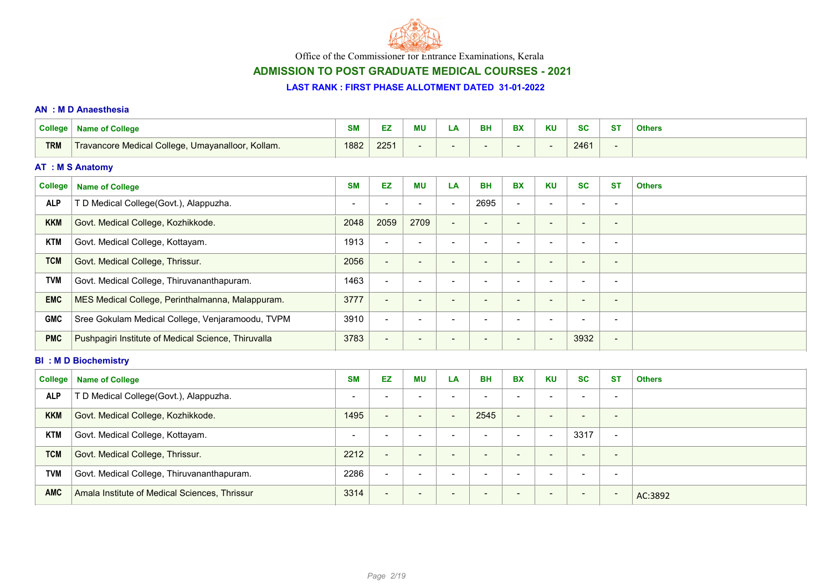

# ADMISSION TO POST GRADUATE MEDICAL COURSES - 2021

#### LAST RANK : FIRST PHASE ALLOTMENT DATED 31-01-2022

#### AN : M D Anaesthesia

| <b>College</b> | <b>Name of College</b>                              | <b>SM</b>                | EZ                       | <b>MU</b>                | LA                       | <b>BH</b>                | <b>BX</b>                | <b>KU</b>                | <b>SC</b>                | <b>ST</b>                | <b>Others</b> |
|----------------|-----------------------------------------------------|--------------------------|--------------------------|--------------------------|--------------------------|--------------------------|--------------------------|--------------------------|--------------------------|--------------------------|---------------|
| <b>TRM</b>     | Travancore Medical College, Umayanalloor, Kollam.   | 1882                     | 2251                     | $\overline{\phantom{a}}$ |                          | $\overline{\phantom{0}}$ |                          | $\overline{\phantom{a}}$ | 2461                     | $\overline{\phantom{a}}$ |               |
|                | <b>AT : M S Anatomy</b>                             |                          |                          |                          |                          |                          |                          |                          |                          |                          |               |
| <b>College</b> | <b>Name of College</b>                              | <b>SM</b>                | EZ                       | <b>MU</b>                | LA                       | <b>BH</b>                | <b>BX</b>                | <b>KU</b>                | <b>SC</b>                | <b>ST</b>                | <b>Others</b> |
| <b>ALP</b>     | T D Medical College(Govt.), Alappuzha.              | $\blacksquare$           | $\overline{\phantom{a}}$ | $\overline{\phantom{a}}$ |                          | 2695                     | $\blacksquare$           | $\overline{\phantom{a}}$ |                          | $\overline{\phantom{a}}$ |               |
| <b>KKM</b>     | Govt. Medical College, Kozhikkode.                  | 2048                     | 2059                     | 2709                     |                          | -                        | $\overline{\phantom{a}}$ | $\overline{\phantom{0}}$ | $\overline{\phantom{0}}$ | $\overline{\phantom{a}}$ |               |
| <b>KTM</b>     | Govt. Medical College, Kottayam.                    | 1913                     | $\blacksquare$           | $\overline{\phantom{a}}$ | $\overline{\phantom{0}}$ | $\blacksquare$           |                          | $\blacksquare$           | $\overline{\phantom{0}}$ | $\overline{\phantom{a}}$ |               |
| <b>TCM</b>     | Govt. Medical College, Thrissur.                    | 2056                     | $\blacksquare$           | $\overline{\phantom{a}}$ | $\overline{\phantom{a}}$ | $\blacksquare$           | $\overline{\phantom{a}}$ | $\overline{\phantom{0}}$ | $\overline{\phantom{a}}$ | $\blacksquare$           |               |
| <b>TVM</b>     | Govt. Medical College, Thiruvananthapuram.          | 1463                     | $\blacksquare$           | $\overline{\phantom{a}}$ | $\overline{\phantom{a}}$ | $\overline{\phantom{a}}$ | $\blacksquare$           | $\blacksquare$           | $\overline{\phantom{a}}$ | $\overline{\phantom{a}}$ |               |
| <b>EMC</b>     | MES Medical College, Perinthalmanna, Malappuram.    | 3777                     | $\blacksquare$           | $\overline{\phantom{a}}$ | $\overline{\phantom{a}}$ | $\blacksquare$           | $\overline{\phantom{a}}$ | $\overline{\phantom{a}}$ | $\blacksquare$           | $\overline{\phantom{a}}$ |               |
| <b>GMC</b>     | Sree Gokulam Medical College, Venjaramoodu, TVPM    | 3910                     | $\blacksquare$           | $\overline{\phantom{a}}$ | $\overline{\phantom{0}}$ | $\blacksquare$           | $\overline{\phantom{0}}$ | $\blacksquare$           | $\overline{a}$           | $\blacksquare$           |               |
| <b>PMC</b>     | Pushpagiri Institute of Medical Science, Thiruvalla | 3783                     | $\blacksquare$           | $\overline{\phantom{a}}$ |                          | -                        |                          | $\overline{\phantom{a}}$ | 3932                     | $\blacksquare$           |               |
|                | <b>BI: MD Biochemistry</b>                          |                          |                          |                          |                          |                          |                          |                          |                          |                          |               |
| <b>College</b> | <b>Name of College</b>                              | <b>SM</b>                | <b>EZ</b>                | MU                       | LA                       | <b>BH</b>                | <b>BX</b>                | <b>KU</b>                | <b>SC</b>                | <b>ST</b>                | <b>Others</b> |
| <b>ALP</b>     | T D Medical College(Govt.), Alappuzha.              | $\overline{\phantom{a}}$ | $\blacksquare$           | $\blacksquare$           | $\overline{\phantom{a}}$ | $\overline{\phantom{a}}$ | $\blacksquare$           | $\blacksquare$           | $\blacksquare$           | $\overline{\phantom{a}}$ |               |
| <b>KKM</b>     | Govt. Medical College, Kozhikkode.                  | 1495                     | $\blacksquare$           | $\blacksquare$           | $\overline{\phantom{a}}$ | 2545                     | $\blacksquare$           | $\blacksquare$           | $\overline{\phantom{a}}$ | $\overline{\phantom{a}}$ |               |
| <b>KTM</b>     | Govt. Medical College, Kottayam.                    | -                        | $\blacksquare$           | $\overline{\phantom{a}}$ | $\overline{\phantom{a}}$ | $\overline{\phantom{a}}$ | $\blacksquare$           | $\blacksquare$           | 3317                     | $\overline{\phantom{a}}$ |               |
| <b>TCM</b>     | Govt. Medical College, Thrissur.                    | 2212                     | $\blacksquare$           | $\overline{\phantom{a}}$ | $\overline{\phantom{a}}$ | $\overline{\phantom{a}}$ | $\overline{\phantom{a}}$ | $\blacksquare$           | $\overline{\phantom{a}}$ | $\overline{\phantom{a}}$ |               |
| <b>TVM</b>     | Govt. Medical College, Thiruvananthapuram.          | 2286                     | $\blacksquare$           | $\overline{\phantom{a}}$ | $\overline{\phantom{a}}$ | $\overline{\phantom{a}}$ | $\blacksquare$           | $\blacksquare$           | $\overline{\phantom{a}}$ | $\blacksquare$           |               |

AMC Amala Institute of Medical Sciences, Thrissur **Amazon State Action 1991** Action 1991 Action 1992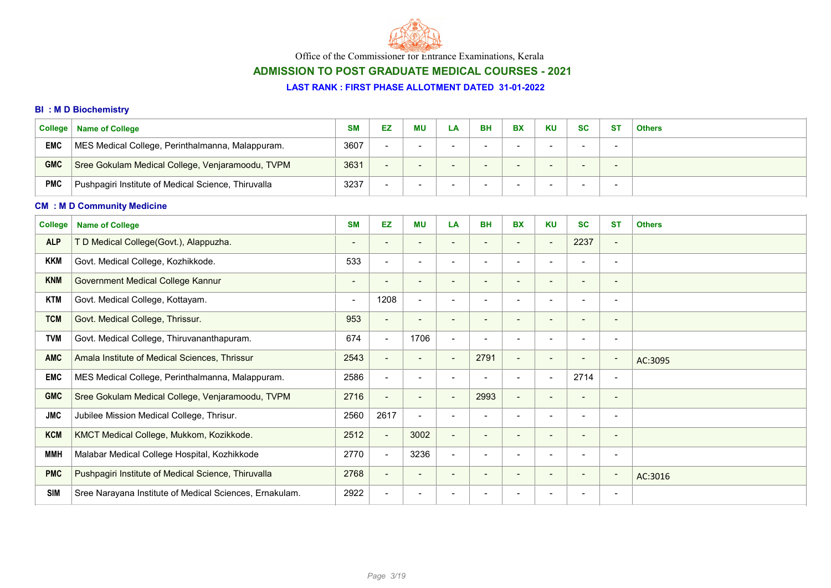

# ADMISSION TO POST GRADUATE MEDICAL COURSES - 2021

#### LAST RANK : FIRST PHASE ALLOTMENT DATED 31-01-2022

### BI : M D Biochemistry

| <b>College</b> | <b>Name of College</b>                              | <b>SM</b> | EZ                       | <b>MU</b> | LA. | BH | <b>BX</b> | <b>KU</b> | <b>SC</b>                | <b>ST</b>                | <b>Others</b> |
|----------------|-----------------------------------------------------|-----------|--------------------------|-----------|-----|----|-----------|-----------|--------------------------|--------------------------|---------------|
| <b>EMC</b>     | MES Medical College, Perinthalmanna, Malappuram.    | 3607      | $\,$                     |           |     |    |           |           |                          | $\overline{\phantom{a}}$ |               |
| <b>GMC</b>     | Sree Gokulam Medical College, Venjaramoodu, TVPM    | 3631      | $\overline{\phantom{0}}$ |           |     |    |           |           | $\overline{\phantom{0}}$ | -                        |               |
| <b>PMC</b>     | Pushpagiri Institute of Medical Science, Thiruvalla | 3237      | $\overline{\phantom{a}}$ |           |     |    |           |           |                          | -                        |               |

### CM : M D Community Medicine

| <b>College</b> | <b>Name of College</b>                                  | <b>SM</b>                | EZ.            | <b>MU</b>                | LA                       | <b>BH</b>                | <b>BX</b>                | <b>KU</b>                | <b>SC</b>                | <b>ST</b>                | <b>Others</b> |
|----------------|---------------------------------------------------------|--------------------------|----------------|--------------------------|--------------------------|--------------------------|--------------------------|--------------------------|--------------------------|--------------------------|---------------|
| <b>ALP</b>     | T D Medical College(Govt.), Alappuzha.                  |                          |                |                          | $\overline{\phantom{a}}$ |                          |                          | $\blacksquare$           | 2237                     | $\blacksquare$           |               |
| <b>KKM</b>     | Govt. Medical College, Kozhikkode.                      | 533                      | $\blacksquare$ |                          | $\overline{\phantom{0}}$ |                          |                          |                          |                          |                          |               |
| <b>KNM</b>     | Government Medical College Kannur                       | $\overline{\phantom{a}}$ |                | $\overline{\phantom{a}}$ | $\overline{\phantom{a}}$ |                          |                          | $\overline{\phantom{a}}$ | -                        | $\overline{\phantom{a}}$ |               |
| <b>KTM</b>     | Govt. Medical College, Kottayam.                        | $\blacksquare$           | 1208           | $\overline{\phantom{a}}$ | $\overline{\phantom{a}}$ |                          |                          | $\overline{\phantom{a}}$ | $\blacksquare$           | $\overline{\phantom{a}}$ |               |
| <b>TCM</b>     | Govt. Medical College, Thrissur.                        | 953                      | $\sim$         | $\overline{\phantom{a}}$ | $\overline{\phantom{a}}$ |                          | $\overline{\phantom{0}}$ | $\overline{\phantom{a}}$ | -                        | $\blacksquare$           |               |
| <b>TVM</b>     | Govt. Medical College, Thiruvananthapuram.              | 674                      | $\blacksquare$ | 1706                     | $\overline{\phantom{a}}$ |                          |                          | $\overline{\phantom{a}}$ | $\blacksquare$           | $\overline{\phantom{a}}$ |               |
| <b>AMC</b>     | Amala Institute of Medical Sciences, Thrissur           | 2543                     | $\blacksquare$ | $\blacksquare$           | $\sim$                   | 2791                     | $\sim$                   | $\overline{\phantom{a}}$ | $\overline{\phantom{a}}$ | $\overline{\phantom{a}}$ | AC:3095       |
| EMC            | MES Medical College, Perinthalmanna, Malappuram.        | 2586                     | $\blacksquare$ |                          | $\overline{\phantom{0}}$ |                          |                          | $\overline{\phantom{a}}$ | 2714                     | $\overline{\phantom{a}}$ |               |
| <b>GMC</b>     | Sree Gokulam Medical College, Venjaramoodu, TVPM        | 2716                     | $\sim$         | $\blacksquare$           | $\overline{\phantom{a}}$ | 2993                     | <b>COLLECTION</b>        |                          | $\overline{\phantom{a}}$ | $\overline{\phantom{a}}$ |               |
| <b>JMC</b>     | Jubilee Mission Medical College, Thrisur.               | 2560                     | 2617           | $\blacksquare$           | $\blacksquare$           |                          |                          |                          | $\blacksquare$           | $\overline{\phantom{a}}$ |               |
| <b>KCM</b>     | KMCT Medical College, Mukkom, Kozikkode.                | 2512                     | $\blacksquare$ | 3002                     | $\overline{\phantom{a}}$ | $\overline{\phantom{0}}$ | $\overline{\phantom{0}}$ | $\overline{\phantom{0}}$ | $\overline{\phantom{0}}$ | $\sim$                   |               |
| MMH            | Malabar Medical College Hospital, Kozhikkode            | 2770                     | $\blacksquare$ | 3236                     | $\overline{\phantom{a}}$ | $\overline{\phantom{0}}$ |                          | $\overline{\phantom{a}}$ | $\overline{\phantom{a}}$ | $\overline{\phantom{a}}$ |               |
| <b>PMC</b>     | Pushpagiri Institute of Medical Science, Thiruvalla     | 2768                     | $\blacksquare$ | $\overline{\phantom{a}}$ | $\overline{\phantom{a}}$ | $\overline{\phantom{a}}$ | $\overline{\phantom{0}}$ | $\overline{\phantom{a}}$ | $\overline{\phantom{a}}$ | $\sim$                   | AC:3016       |
| <b>SIM</b>     | Sree Narayana Institute of Medical Sciences, Ernakulam. | 2922                     |                |                          | $\overline{\phantom{a}}$ |                          |                          |                          |                          |                          |               |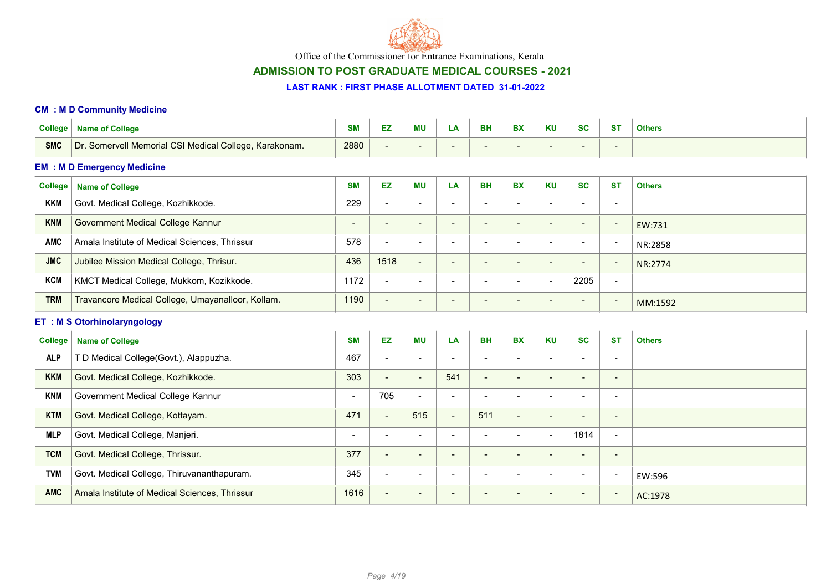

# ADMISSION TO POST GRADUATE MEDICAL COURSES - 2021

#### LAST RANK : FIRST PHASE ALLOTMENT DATED 31-01-2022

#### CM : M D Community Medicine

| <b>College</b> | <b>Name of College</b>                                 | <b>SM</b>      | EZ                       | <b>MU</b>                    | LA                       | <b>BH</b>                | <b>BX</b>                | <b>KU</b>                    | <b>SC</b>                | <b>ST</b>                | <b>Others</b> |
|----------------|--------------------------------------------------------|----------------|--------------------------|------------------------------|--------------------------|--------------------------|--------------------------|------------------------------|--------------------------|--------------------------|---------------|
| <b>SMC</b>     | Dr. Somervell Memorial CSI Medical College, Karakonam. | 2880           | $\overline{\phantom{a}}$ | ٠                            | $\blacksquare$           |                          |                          | $\blacksquare$               |                          | $\overline{\phantom{a}}$ |               |
|                | <b>EM : M D Emergency Medicine</b>                     |                |                          |                              |                          |                          |                          |                              |                          |                          |               |
| <b>College</b> | <b>Name of College</b>                                 | <b>SM</b>      | <b>EZ</b>                | <b>MU</b>                    | LA                       | <b>BH</b>                | <b>BX</b>                | <b>KU</b>                    | <b>SC</b>                | <b>ST</b>                | <b>Others</b> |
| <b>KKM</b>     | Govt. Medical College, Kozhikkode.                     | 229            | $\blacksquare$           | $\blacksquare$               | $\blacksquare$           | $\blacksquare$           | $\blacksquare$           | $\blacksquare$               | $\overline{\phantom{0}}$ | $\overline{\phantom{a}}$ |               |
| <b>KNM</b>     | Government Medical College Kannur                      | $\blacksquare$ | $\overline{\phantom{a}}$ | $\qquad \qquad \blacksquare$ | $\overline{\phantom{a}}$ | $\overline{\phantom{a}}$ | $\overline{\phantom{a}}$ | $\overline{\phantom{a}}$     | $\overline{\phantom{a}}$ | $\overline{\phantom{a}}$ | EW:731        |
| <b>AMC</b>     | Amala Institute of Medical Sciences, Thrissur          | 578            | $\blacksquare$           | $\blacksquare$               | $\overline{\phantom{a}}$ | $\sim$                   | $\blacksquare$           | $\blacksquare$               | $\overline{\phantom{a}}$ | $\overline{\phantom{a}}$ | NR:2858       |
| <b>JMC</b>     | Jubilee Mission Medical College, Thrisur.              | 436            | 1518                     | $\blacksquare$               | $\overline{\phantom{a}}$ |                          | $\blacksquare$           | $\overline{\phantom{a}}$     |                          | $\overline{\phantom{a}}$ | NR:2774       |
| <b>KCM</b>     | KMCT Medical College, Mukkom, Kozikkode.               | 1172           | $\blacksquare$           | $\blacksquare$               | $\blacksquare$           | $\blacksquare$           | $\blacksquare$           | $\blacksquare$               | 2205                     | $\blacksquare$           |               |
| <b>TRM</b>     | Travancore Medical College, Umayanalloor, Kollam.      | 1190           | $\blacksquare$           | $\overline{\phantom{0}}$     | $\overline{\phantom{a}}$ |                          |                          | $\overline{\phantom{0}}$     |                          | $\overline{\phantom{a}}$ | MM:1592       |
|                |                                                        |                |                          |                              |                          |                          |                          |                              |                          |                          |               |
|                | <b>ET : M S Otorhinolaryngology</b>                    |                |                          |                              |                          |                          |                          |                              |                          |                          |               |
| <b>College</b> | <b>Name of College</b>                                 | <b>SM</b>      | <b>EZ</b>                | <b>MU</b>                    | LA                       | <b>BH</b>                | <b>BX</b>                | <b>KU</b>                    | <b>SC</b>                | <b>ST</b>                | <b>Others</b> |
| <b>ALP</b>     | T D Medical College(Govt.), Alappuzha.                 | 467            | $\blacksquare$           | $\blacksquare$               | $\overline{\phantom{a}}$ | $\blacksquare$           | $\blacksquare$           | $\overline{\phantom{a}}$     | $\blacksquare$           | $\overline{\phantom{a}}$ |               |
| <b>KKM</b>     | Govt. Medical College, Kozhikkode.                     | 303            | $\blacksquare$           | $\blacksquare$               | 541                      | $\blacksquare$           | $\blacksquare$           | $\overline{\phantom{a}}$     | $\overline{\phantom{a}}$ | $\overline{\phantom{a}}$ |               |
| <b>KNM</b>     | Government Medical College Kannur                      | $\blacksquare$ | 705                      | $\overline{\phantom{a}}$     | $\overline{\phantom{a}}$ |                          | $\blacksquare$           | $\overline{\phantom{a}}$     | $\overline{\phantom{a}}$ | $\overline{\phantom{a}}$ |               |
| <b>KTM</b>     | Govt. Medical College, Kottayam.                       | 471            | $\blacksquare$           | 515                          | $\blacksquare$           | 511                      | $\blacksquare$           | $\overline{\phantom{a}}$     | $\overline{\phantom{a}}$ | $\overline{\phantom{a}}$ |               |
| <b>MLP</b>     | Govt. Medical College, Manjeri.                        | $\blacksquare$ | $\blacksquare$           | $\overline{\phantom{a}}$     | $\overline{\phantom{a}}$ |                          | $\blacksquare$           | $\overline{\phantom{a}}$     | 1814                     | $\overline{\phantom{a}}$ |               |
| <b>TCM</b>     | Govt. Medical College, Thrissur.                       | 377            | $\blacksquare$           | $\overline{\phantom{a}}$     | $\overline{\phantom{a}}$ | $\overline{\phantom{a}}$ | $\overline{\phantom{a}}$ | $\overline{\phantom{a}}$     | $\overline{\phantom{a}}$ | $\overline{\phantom{a}}$ |               |
| <b>TVM</b>     | Govt. Medical College, Thiruvananthapuram.             | 345            | $\blacksquare$           | $\qquad \qquad \blacksquare$ |                          |                          |                          | $\qquad \qquad \blacksquare$ |                          | $\overline{\phantom{a}}$ | EW:596        |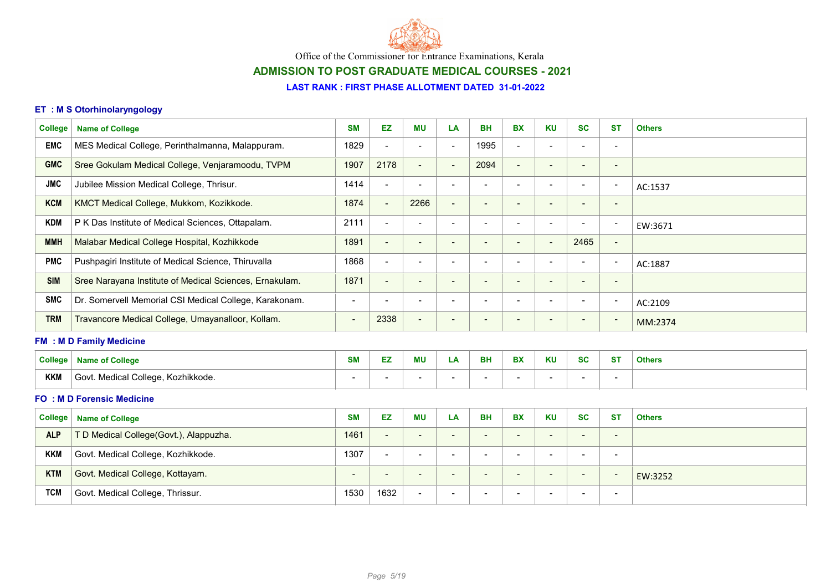

# ADMISSION TO POST GRADUATE MEDICAL COURSES - 2021

### LAST RANK : FIRST PHASE ALLOTMENT DATED 31-01-2022

### ET : M S Otorhinolaryngology

| <b>College</b> | <b>Name of College</b>                                  | <b>SM</b>                | <b>EZ</b>                | <b>MU</b>                | LA                       | <b>BH</b>                | <b>BX</b>                | <b>KU</b>                | <b>SC</b>                | <b>ST</b>                    | <b>Others</b> |
|----------------|---------------------------------------------------------|--------------------------|--------------------------|--------------------------|--------------------------|--------------------------|--------------------------|--------------------------|--------------------------|------------------------------|---------------|
| <b>EMC</b>     | MES Medical College, Perinthalmanna, Malappuram.        | 1829                     | $\overline{\phantom{a}}$ | $\overline{\phantom{a}}$ | $\overline{\phantom{a}}$ | 1995                     | $\overline{\phantom{a}}$ | $\overline{\phantom{a}}$ | $\overline{\phantom{a}}$ | $\overline{\phantom{0}}$     |               |
| <b>GMC</b>     | Sree Gokulam Medical College, Venjaramoodu, TVPM        | 1907                     | 2178                     | $\overline{\phantom{a}}$ | <b>.</b>                 | 2094                     | $\overline{\phantom{a}}$ | $\overline{\phantom{a}}$ |                          | $\overline{\phantom{0}}$     |               |
| <b>JMC</b>     | Jubilee Mission Medical College, Thrisur.               | 1414                     | $\blacksquare$           | $\overline{\phantom{a}}$ | $\blacksquare$           |                          |                          | $\overline{\phantom{a}}$ | $\overline{\phantom{a}}$ | $\overline{\phantom{a}}$     | AC:1537       |
| <b>KCM</b>     | KMCT Medical College, Mukkom, Kozikkode.                | 1874                     | $\sim$                   | 2266                     | $\overline{\phantom{a}}$ | $\overline{\phantom{0}}$ | $\overline{\phantom{a}}$ | $\overline{\phantom{a}}$ | $\sim$                   | $\overline{\phantom{0}}$     |               |
| <b>KDM</b>     | P K Das Institute of Medical Sciences, Ottapalam.       | 2111                     | $\blacksquare$           | $\overline{\phantom{a}}$ | $\overline{\phantom{0}}$ |                          | $\overline{\phantom{a}}$ | $\overline{\phantom{a}}$ | $\overline{\phantom{a}}$ | $\overline{\phantom{a}}$     | EW:3671       |
| <b>MMH</b>     | Malabar Medical College Hospital, Kozhikkode            | 1891                     | $\overline{\phantom{a}}$ | $\blacksquare$           | $\overline{\phantom{0}}$ |                          |                          | $\overline{\phantom{a}}$ | 2465                     | $\overline{\phantom{a}}$     |               |
| <b>PMC</b>     | Pushpagiri Institute of Medical Science, Thiruvalla     | 1868                     | $\blacksquare$           | $\overline{\phantom{a}}$ | $\overline{\phantom{0}}$ |                          |                          | $\overline{\phantom{a}}$ | $\overline{\phantom{a}}$ | $\overline{\phantom{a}}$     | AC:1887       |
| <b>SIM</b>     | Sree Narayana Institute of Medical Sciences, Ernakulam. | 1871                     | $\blacksquare$           | $\overline{\phantom{a}}$ | $\overline{\phantom{0}}$ | $\overline{\phantom{0}}$ |                          | $\overline{\phantom{a}}$ |                          | $\qquad \qquad$              |               |
| <b>SMC</b>     | Dr. Somervell Memorial CSI Medical College, Karakonam.  | $\blacksquare$           | $\blacksquare$           | $\overline{\phantom{a}}$ | $\overline{\phantom{0}}$ |                          | $\blacksquare$           | $\overline{\phantom{a}}$ | $\overline{\phantom{a}}$ | $\overline{\phantom{a}}$     | AC:2109       |
| <b>TRM</b>     | Travancore Medical College, Umayanalloor, Kollam.       | $\overline{\phantom{a}}$ | 2338                     | $\blacksquare$           | $\overline{\phantom{a}}$ |                          |                          | $\overline{\phantom{a}}$ |                          | $\overline{\phantom{a}}$     | MM:2374       |
|                | <b>FM : M D Family Medicine</b>                         |                          |                          |                          |                          |                          |                          |                          |                          |                              |               |
| <b>College</b> | <b>Name of College</b>                                  | <b>SM</b>                | <b>EZ</b>                | <b>MU</b>                | LA                       | <b>BH</b>                | <b>BX</b>                | <b>KU</b>                | <b>SC</b>                | <b>ST</b>                    | <b>Others</b> |
| <b>KKM</b>     | Govt. Medical College, Kozhikkode.                      | $\overline{\phantom{a}}$ | $\blacksquare$           | -                        |                          |                          |                          | $\overline{\phantom{a}}$ |                          | $\qquad \qquad \blacksquare$ |               |

#### FO : M D Forensic Medicine

|            | College   Name of College              | <b>SM</b> | EZ                       | ΜU                       | LA | <b>BH</b>                | <b>BX</b>                | <b>KU</b>                | <b>SC</b>                | <b>ST</b>                | <b>Others</b> |
|------------|----------------------------------------|-----------|--------------------------|--------------------------|----|--------------------------|--------------------------|--------------------------|--------------------------|--------------------------|---------------|
| <b>ALP</b> | T D Medical College(Govt.), Alappuzha. | 1461      | $\overline{\phantom{0}}$ | $\overline{\phantom{0}}$ | -  | $\overline{\phantom{a}}$ | -                        | $\overline{\phantom{0}}$ | $\overline{\phantom{0}}$ | $\overline{\phantom{0}}$ |               |
| <b>KKM</b> | Govt. Medical College, Kozhikkode.     | 1307      | $\overline{\phantom{0}}$ | $\overline{\phantom{0}}$ | -  | $\overline{\phantom{a}}$ |                          | $\overline{\phantom{a}}$ | $\overline{\phantom{0}}$ | $\overline{\phantom{0}}$ |               |
| <b>KTM</b> | Govt. Medical College, Kottayam.       | -         | $\overline{\phantom{0}}$ | $\overline{\phantom{0}}$ | -  | $\overline{\phantom{0}}$ | $\overline{\phantom{0}}$ | $\overline{\phantom{a}}$ | $\overline{\phantom{0}}$ | $\overline{\phantom{0}}$ | EW:3252       |
| <b>TCM</b> | Govt. Medical College, Thrissur.       | 1530      | 1632                     | $\overline{\phantom{a}}$ | -  | $\overline{\phantom{a}}$ |                          | . .                      | $\overline{\phantom{0}}$ | $\overline{\phantom{0}}$ |               |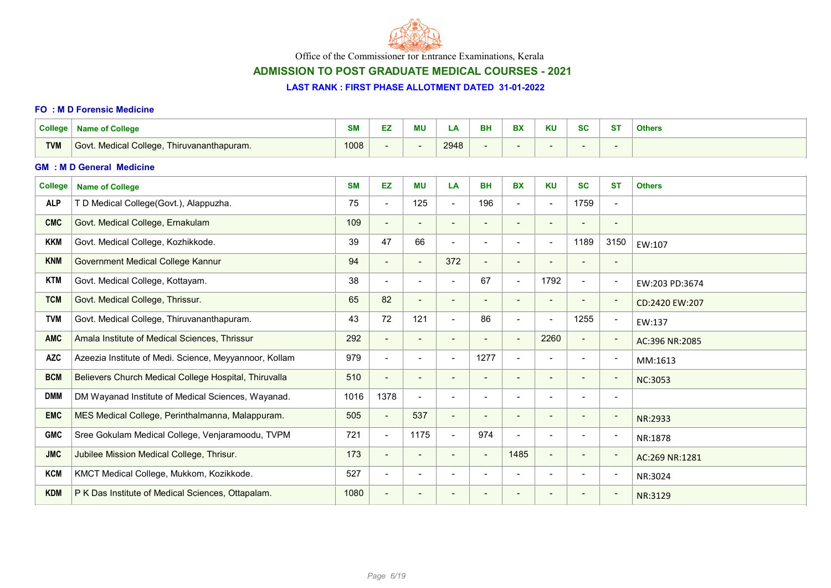

# ADMISSION TO POST GRADUATE MEDICAL COURSES - 2021

#### LAST RANK : FIRST PHASE ALLOTMENT DATED 31-01-2022

#### FO : M D Forensic Medicine

| <b>College</b> | <b>Name of College</b>                                 | <b>SM</b> | EZ.                      | <b>MU</b>                | LA                       | <b>BH</b>                    | <b>BX</b>                | <b>KU</b>                    | <b>SC</b>                | <b>ST</b>                | <b>Others</b>  |
|----------------|--------------------------------------------------------|-----------|--------------------------|--------------------------|--------------------------|------------------------------|--------------------------|------------------------------|--------------------------|--------------------------|----------------|
| <b>TVM</b>     | Govt. Medical College, Thiruvananthapuram.             | 1008      | $\overline{\phantom{a}}$ |                          | 2948                     | $\overline{\phantom{a}}$     | $\overline{\phantom{a}}$ | $\qquad \qquad \blacksquare$ |                          | $\overline{\phantom{a}}$ |                |
|                | <b>GM : M D General Medicine</b>                       |           |                          |                          |                          |                              |                          |                              |                          |                          |                |
| <b>College</b> | <b>Name of College</b>                                 | <b>SM</b> | EZ                       | <b>MU</b>                | LA                       | <b>BH</b>                    | <b>BX</b>                | <b>KU</b>                    | <b>SC</b>                | <b>ST</b>                | <b>Others</b>  |
| <b>ALP</b>     | T D Medical College(Govt.), Alappuzha.                 | 75        | $\blacksquare$           | 125                      | $\overline{\phantom{0}}$ | 196                          | $\blacksquare$           | $\overline{\phantom{a}}$     | 1759                     | $\overline{\phantom{a}}$ |                |
| <b>CMC</b>     | Govt. Medical College, Ernakulam                       | 109       | $\overline{\phantom{a}}$ | $\overline{\phantom{a}}$ | $\blacksquare$           | $\overline{\phantom{a}}$     | $\blacksquare$           | $\overline{\phantom{a}}$     | $\overline{\phantom{a}}$ | $\overline{\phantom{a}}$ |                |
| <b>KKM</b>     | Govt. Medical College, Kozhikkode.                     | 39        | 47                       | 66                       | $\blacksquare$           | $\overline{\phantom{a}}$     | $\blacksquare$           | $\overline{\phantom{a}}$     | 1189                     | 3150                     | EW:107         |
| <b>KNM</b>     | <b>Government Medical College Kannur</b>               | 94        | $\overline{\phantom{a}}$ | $\overline{\phantom{a}}$ | 372                      | $\overline{\phantom{a}}$     | $\overline{\phantom{a}}$ | $\qquad \qquad \blacksquare$ | $\overline{\phantom{a}}$ |                          |                |
| <b>KTM</b>     | Govt. Medical College, Kottayam.                       | 38        | $\blacksquare$           | $\overline{\phantom{0}}$ | $\sim$                   | 67                           | $\sim$                   | 1792                         | $\overline{\phantom{a}}$ |                          | EW:203 PD:3674 |
| <b>TCM</b>     | Govt. Medical College, Thrissur.                       | 65        | 82                       | $\overline{\phantom{a}}$ | $\overline{\phantom{a}}$ | $\overline{\phantom{a}}$     | $\overline{\phantom{a}}$ | $\overline{\phantom{a}}$     | $\overline{\phantom{a}}$ |                          | CD:2420 EW:207 |
| <b>TVM</b>     | Govt. Medical College, Thiruvananthapuram.             | 43        | 72                       | 121                      | $\overline{\phantom{0}}$ | 86                           | $\blacksquare$           | $\overline{\phantom{a}}$     | 1255                     |                          | EW:137         |
| <b>AMC</b>     | Amala Institute of Medical Sciences, Thrissur          | 292       | $\overline{\phantom{a}}$ |                          | $\overline{\phantom{a}}$ | $\qquad \qquad \blacksquare$ | $\overline{\phantom{a}}$ | 2260                         | $\overline{\phantom{a}}$ |                          | AC:396 NR:2085 |
| <b>AZC</b>     | Azeezia Institute of Medi. Science, Meyyannoor, Kollam | 979       | $\blacksquare$           | $\overline{\phantom{a}}$ | $\overline{\phantom{0}}$ | 1277                         | $\blacksquare$           | $\overline{\phantom{a}}$     | $\overline{\phantom{a}}$ |                          | MM:1613        |
| <b>BCM</b>     | Believers Church Medical College Hospital, Thiruvalla  | 510       | $\overline{\phantom{a}}$ | $\overline{\phantom{a}}$ | $\overline{\phantom{a}}$ | $\overline{\phantom{a}}$     | $\blacksquare$           | $\blacksquare$               | $\overline{\phantom{a}}$ |                          | NC:3053        |
| <b>DMM</b>     | DM Wayanad Institute of Medical Sciences, Wayanad.     | 1016      | 1378                     | $\overline{\phantom{a}}$ | $\overline{\phantom{a}}$ | $\overline{\phantom{a}}$     | $\blacksquare$           | $\overline{\phantom{a}}$     |                          | $\overline{\phantom{a}}$ |                |
| <b>EMC</b>     | MES Medical College, Perinthalmanna, Malappuram.       | 505       | $\overline{\phantom{a}}$ | 537                      | $\blacksquare$           | $\overline{\phantom{a}}$     |                          | $\overline{\phantom{a}}$     |                          |                          | NR:2933        |
| <b>GMC</b>     | Sree Gokulam Medical College, Venjaramoodu, TVPM       | 721       | $\blacksquare$           | 1175                     | $\blacksquare$           | 974                          | $\overline{\phantom{a}}$ | $\overline{\phantom{a}}$     |                          |                          | NR:1878        |
| <b>JMC</b>     | Jubilee Mission Medical College, Thrisur.              | 173       | $\overline{\phantom{a}}$ | $\blacksquare$           | $\overline{\phantom{a}}$ | $\blacksquare$               | 1485                     | $\overline{\phantom{a}}$     |                          |                          | AC:269 NR:1281 |
| <b>KCM</b>     | KMCT Medical College, Mukkom, Kozikkode.               | 527       | $\blacksquare$           |                          | $\overline{\phantom{a}}$ | $\blacksquare$               | $\overline{\phantom{a}}$ | $\overline{\phantom{a}}$     |                          |                          | NR:3024        |
| <b>KDM</b>     | P K Das Institute of Medical Sciences, Ottapalam.      | 1080      |                          |                          |                          | $\overline{\phantom{a}}$     |                          |                              |                          |                          | NR:3129        |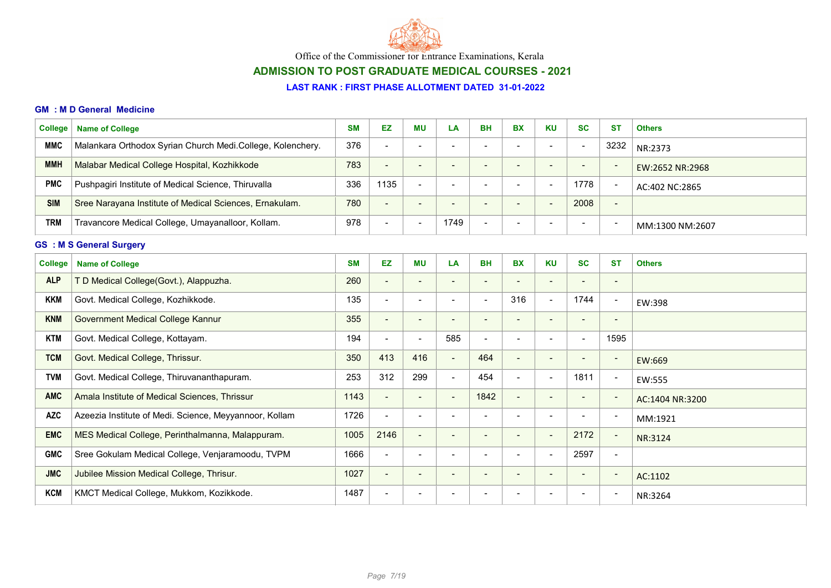

# ADMISSION TO POST GRADUATE MEDICAL COURSES - 2021

#### LAST RANK : FIRST PHASE ALLOTMENT DATED 31-01-2022

#### GM : M D General Medicine

| College    | <b>Name of College</b>                                     | <b>SM</b> | <b>EZ</b>                | ΜU                       | LA   | <b>BH</b>                | <b>BX</b>                | <b>KU</b>                | <b>SC</b>                | <b>ST</b>                | <b>Others</b>   |  |  |
|------------|------------------------------------------------------------|-----------|--------------------------|--------------------------|------|--------------------------|--------------------------|--------------------------|--------------------------|--------------------------|-----------------|--|--|
| <b>MMC</b> | Malankara Orthodox Syrian Church Medi.College, Kolenchery. | 376       | $\overline{\phantom{0}}$ | $\overline{\phantom{0}}$ | -    | $\overline{\phantom{0}}$ |                          | $\overline{\phantom{0}}$ | $\overline{\phantom{0}}$ | 3232                     | NR:2373         |  |  |
| <b>MMH</b> | Malabar Medical College Hospital, Kozhikkode               | 783       | $\overline{\phantom{0}}$ | $\overline{\phantom{0}}$ | . .  | $\overline{\phantom{0}}$ |                          | $\overline{\phantom{0}}$ | $\overline{\phantom{0}}$ | $\overline{\phantom{0}}$ | EW:2652 NR:2968 |  |  |
| <b>PMC</b> | Pushpagiri Institute of Medical Science, Thiruvalla        | 336       | 1135                     | $\overline{\phantom{a}}$ | . .  |                          |                          | $\overline{\phantom{0}}$ | 1778                     | $\overline{\phantom{a}}$ | AC:402 NC:2865  |  |  |
| <b>SIM</b> | Sree Narayana Institute of Medical Sciences, Ernakulam.    | 780       | $\overline{\phantom{a}}$ | $\overline{\phantom{0}}$ | . .  |                          |                          | $\overline{\phantom{0}}$ | 2008                     | $\overline{\phantom{a}}$ |                 |  |  |
| <b>TRM</b> | Travancore Medical College, Umayanalloor, Kollam.          | 978       | $\blacksquare$           | $\overline{\phantom{a}}$ | 1749 |                          | $\overline{\phantom{0}}$ | $\,$                     | $\overline{\phantom{0}}$ | -                        | MM:1300 NM:2607 |  |  |
|            | <b>GS : M S General Surgery</b>                            |           |                          |                          |      |                          |                          |                          |                          |                          |                 |  |  |
| ____       |                                                            | ---       |                          |                          |      |                          |                          |                          |                          |                          |                 |  |  |

| <b>College</b> | <b>Name of College</b>                                 | <b>SM</b> | EZ                       | <b>MU</b>                | LA                       | <b>BH</b>                | <b>BX</b>                | <b>KU</b>                | <b>SC</b>                | <b>ST</b>                | <b>Others</b>   |
|----------------|--------------------------------------------------------|-----------|--------------------------|--------------------------|--------------------------|--------------------------|--------------------------|--------------------------|--------------------------|--------------------------|-----------------|
| <b>ALP</b>     | T D Medical College(Govt.), Alappuzha.                 | 260       | $\overline{\phantom{a}}$ |                          | $\overline{\phantom{a}}$ |                          |                          | $\qquad \qquad$          | ٠                        | $\qquad \qquad$          |                 |
| <b>KKM</b>     | Govt. Medical College, Kozhikkode.                     | 135       | $\overline{\phantom{a}}$ | $\blacksquare$           | $\overline{\phantom{a}}$ |                          | 316                      | $\blacksquare$           | 1744                     | $\blacksquare$           | EW:398          |
| <b>KNM</b>     | Government Medical College Kannur                      | 355       | $\overline{\phantom{a}}$ | $\overline{\phantom{a}}$ | $\overline{\phantom{a}}$ |                          |                          | $\overline{\phantom{a}}$ | ٠                        | $\overline{\phantom{a}}$ |                 |
| <b>KTM</b>     | Govt. Medical College, Kottayam.                       | 194       | $\blacksquare$           | $\blacksquare$           | 585                      | $\overline{\phantom{0}}$ |                          | $\overline{\phantom{a}}$ | $\overline{\phantom{0}}$ | 1595                     |                 |
| <b>TCM</b>     | Govt. Medical College, Thrissur.                       | 350       | 413                      | 416                      | $\overline{\phantom{a}}$ | 464                      | $\overline{\phantom{0}}$ | $\overline{\phantom{a}}$ | ٠                        | $\sim$                   | EW:669          |
| TVM            | Govt. Medical College, Thiruvananthapuram.             | 253       | 312                      | 299                      | $\blacksquare$           | 454                      | -                        | $\overline{\phantom{a}}$ | 1811                     | $\blacksquare$           | EW:555          |
| <b>AMC</b>     | Amala Institute of Medical Sciences, Thrissur          | 1143      | $\overline{\phantom{a}}$ | $\sim$                   | $\overline{\phantom{a}}$ | 1842                     | $\overline{\phantom{0}}$ |                          |                          | $\overline{\phantom{a}}$ | AC:1404 NR:3200 |
| <b>AZC</b>     | Azeezia Institute of Medi. Science, Meyyannoor, Kollam | 1726      | $\blacksquare$           |                          |                          |                          |                          |                          |                          | $\overline{\phantom{a}}$ | MM:1921         |
| <b>EMC</b>     | MES Medical College, Perinthalmanna, Malappuram.       | 1005      | 2146                     | $\blacksquare$           | $\overline{\phantom{a}}$ |                          |                          | $\blacksquare$           | 2172                     | $\overline{\phantom{a}}$ | NR:3124         |
| <b>GMC</b>     | Sree Gokulam Medical College, Venjaramoodu, TVPM       | 1666      | $\blacksquare$           | $\overline{\phantom{a}}$ | $\overline{\phantom{a}}$ |                          |                          | $\overline{\phantom{a}}$ | 2597                     | $\overline{\phantom{a}}$ |                 |
| <b>JMC</b>     | Jubilee Mission Medical College, Thrisur.              | 1027      | $\blacksquare$           | $\overline{\phantom{a}}$ | $\overline{\phantom{a}}$ | $\overline{\phantom{a}}$ | -                        | $\overline{\phantom{a}}$ | $\overline{\phantom{a}}$ | $\overline{\phantom{a}}$ | AC:1102         |
| <b>KCM</b>     | KMCT Medical College, Mukkom, Kozikkode.               | 1487      | $\overline{\phantom{a}}$ |                          |                          |                          |                          |                          |                          | $\overline{\phantom{a}}$ | NR:3264         |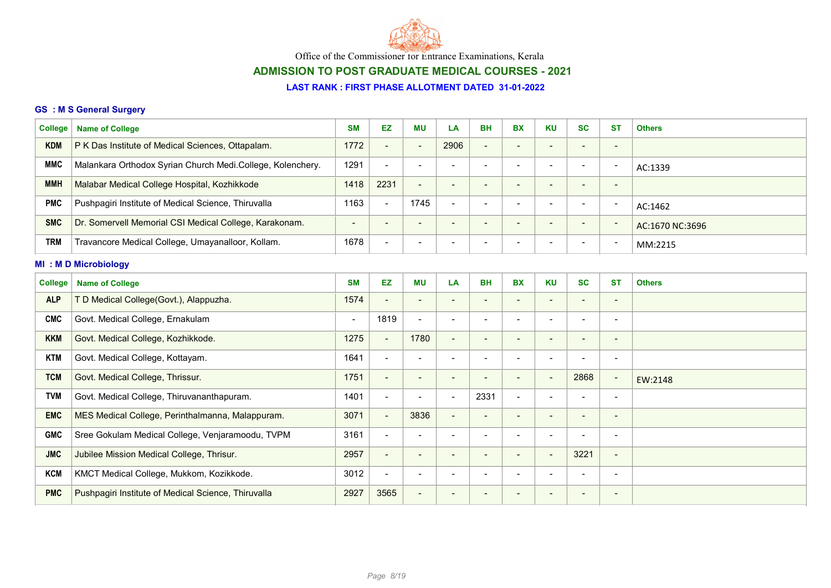

# ADMISSION TO POST GRADUATE MEDICAL COURSES - 2021

### LAST RANK : FIRST PHASE ALLOTMENT DATED 31-01-2022

### GS : M S General Surgery

| <b>College</b> | <b>Name of College</b>                                     | <b>SM</b>                | EZ                       | <b>MU</b>                | LA                       | <b>BH</b>                | <b>BX</b>                    | <b>KU</b>                | <b>SC</b>                | <b>ST</b>                | <b>Others</b>   |
|----------------|------------------------------------------------------------|--------------------------|--------------------------|--------------------------|--------------------------|--------------------------|------------------------------|--------------------------|--------------------------|--------------------------|-----------------|
| <b>KDM</b>     | P K Das Institute of Medical Sciences, Ottapalam.          | 1772                     | $\overline{\phantom{a}}$ | $\overline{\phantom{a}}$ | 2906                     | $\blacksquare$           | $\overline{\phantom{a}}$     | $\overline{\phantom{a}}$ | $\overline{\phantom{a}}$ | $\overline{\phantom{a}}$ |                 |
| <b>MMC</b>     | Malankara Orthodox Syrian Church Medi.College, Kolenchery. | 1291                     | $\blacksquare$           | $\blacksquare$           | $\overline{\phantom{a}}$ | $\overline{\phantom{a}}$ | $\blacksquare$               | $\overline{\phantom{a}}$ | $\overline{\phantom{a}}$ | $\overline{\phantom{a}}$ | AC:1339         |
| <b>MMH</b>     | Malabar Medical College Hospital, Kozhikkode               | 1418                     | 2231                     | $\blacksquare$           | $\overline{\phantom{a}}$ | $\overline{\phantom{0}}$ | $\qquad \qquad \blacksquare$ | $\sim$                   | $\overline{\phantom{a}}$ | $\overline{\phantom{a}}$ |                 |
| <b>PMC</b>     | Pushpagiri Institute of Medical Science, Thiruvalla        | 1163                     | $\blacksquare$           | 1745                     | $\overline{\phantom{a}}$ |                          | $\blacksquare$               | $\overline{\phantom{a}}$ | $\overline{\phantom{a}}$ | $\blacksquare$           | AC:1462         |
| <b>SMC</b>     | Dr. Somervell Memorial CSI Medical College, Karakonam.     | $\blacksquare$           | $\overline{\phantom{a}}$ | $\overline{\phantom{a}}$ | $\overline{\phantom{a}}$ | $\overline{\phantom{a}}$ | $\qquad \qquad \blacksquare$ | $\overline{\phantom{a}}$ | $\overline{\phantom{a}}$ | $\overline{\phantom{a}}$ | AC:1670 NC:3696 |
| <b>TRM</b>     | Travancore Medical College, Umayanalloor, Kollam.          | 1678                     | $\blacksquare$           |                          |                          |                          |                              |                          |                          | $\overline{\phantom{a}}$ | MM:2215         |
|                | <b>MI: MD Microbiology</b>                                 |                          |                          |                          |                          |                          |                              |                          |                          |                          |                 |
| <b>College</b> | <b>Name of College</b>                                     | <b>SM</b>                | EZ                       | <b>MU</b>                | LA                       | <b>BH</b>                | <b>BX</b>                    | <b>KU</b>                | <b>SC</b>                | <b>ST</b>                | <b>Others</b>   |
| <b>ALP</b>     | T D Medical College(Govt.), Alappuzha.                     | 1574                     | $\overline{\phantom{a}}$ | $\overline{\phantom{a}}$ |                          |                          | -                            | $\overline{\phantom{a}}$ | $\overline{\phantom{a}}$ | $\overline{\phantom{a}}$ |                 |
| <b>CMC</b>     | Govt. Medical College, Ernakulam                           | $\overline{\phantom{a}}$ | 1819                     | $\blacksquare$           | $\blacksquare$           | $\overline{\phantom{a}}$ | $\overline{\phantom{0}}$     | $\overline{\phantom{a}}$ | $\overline{\phantom{a}}$ | $\overline{\phantom{a}}$ |                 |
| <b>KKM</b>     | Govt. Medical College, Kozhikkode.                         | 1275                     | $\blacksquare$           | 1780                     | $\overline{\phantom{a}}$ | $\overline{\phantom{a}}$ | $\overline{\phantom{a}}$     | $\overline{\phantom{a}}$ | $\overline{\phantom{a}}$ | $\overline{\phantom{a}}$ |                 |
| <b>KTM</b>     | Govt. Medical College, Kottayam.                           | 1641                     | $\blacksquare$           | $\overline{\phantom{a}}$ |                          |                          | $\blacksquare$               | $\overline{\phantom{a}}$ |                          | $\overline{\phantom{a}}$ |                 |
| <b>TCM</b>     | Govt. Medical College, Thrissur.                           | 1751                     | $\overline{\phantom{a}}$ |                          | $\overline{\phantom{a}}$ |                          |                              |                          | 2868                     | $\overline{\phantom{a}}$ | EW:2148         |
| <b>TVM</b>     | Govt. Medical College, Thiruvananthapuram.                 | 1401                     | $\blacksquare$           | $\overline{\phantom{a}}$ | $\overline{\phantom{a}}$ | 2331                     | $\blacksquare$               | $\overline{\phantom{a}}$ | $\blacksquare$           | $\overline{\phantom{a}}$ |                 |
| <b>EMC</b>     | MES Medical College, Perinthalmanna, Malappuram.           | 3071                     | $\blacksquare$           | 3836                     | $\overline{\phantom{a}}$ | $\overline{\phantom{a}}$ | -                            | $\overline{\phantom{a}}$ | $\overline{\phantom{a}}$ |                          |                 |
| <b>GMC</b>     | Sree Gokulam Medical College, Venjaramoodu, TVPM           | 3161                     | $\blacksquare$           | $\overline{\phantom{a}}$ |                          |                          | $\overline{\phantom{a}}$     | $\overline{\phantom{a}}$ |                          | $\overline{\phantom{a}}$ |                 |
| <b>JMC</b>     | Jubilee Mission Medical College, Thrisur.                  | 2957                     | $\blacksquare$           |                          |                          |                          |                              |                          | 3221                     | $\overline{\phantom{0}}$ |                 |
| <b>KCM</b>     | KMCT Medical College, Mukkom, Kozikkode.                   | 3012                     | $\blacksquare$           | $\blacksquare$           | $\overline{\phantom{a}}$ | $\overline{\phantom{a}}$ | $\blacksquare$               | $\blacksquare$           | $\overline{\phantom{0}}$ | $\overline{\phantom{a}}$ |                 |
| <b>PMC</b>     | Pushpagiri Institute of Medical Science, Thiruvalla        | 2927                     | 3565                     | $\overline{\phantom{a}}$ | $\overline{\phantom{a}}$ |                          |                              | $\overline{\phantom{a}}$ | $\overline{\phantom{a}}$ | $\overline{\phantom{a}}$ |                 |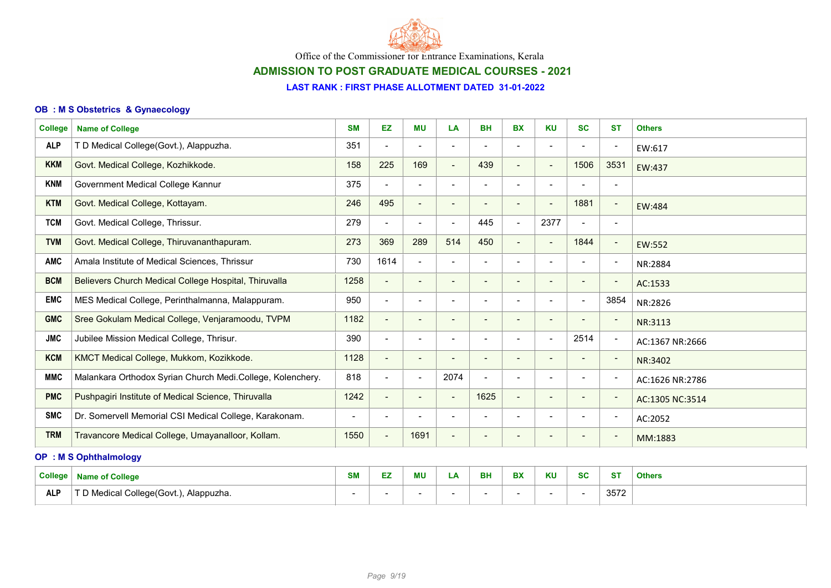

# ADMISSION TO POST GRADUATE MEDICAL COURSES - 2021

#### LAST RANK : FIRST PHASE ALLOTMENT DATED 31-01-2022

### OB : M S Obstetrics & Gynaecology

| <b>College</b> | <b>Name of College</b>                                     | <b>SM</b>      | EZ                       | <b>MU</b>                | LA                       | <b>BH</b>                | <b>BX</b>                | <b>KU</b>                | <b>SC</b>                | <b>ST</b>                | <b>Others</b>   |
|----------------|------------------------------------------------------------|----------------|--------------------------|--------------------------|--------------------------|--------------------------|--------------------------|--------------------------|--------------------------|--------------------------|-----------------|
| <b>ALP</b>     | T D Medical College(Govt.), Alappuzha.                     | 351            | $\blacksquare$           |                          |                          |                          |                          |                          |                          | $\overline{\phantom{a}}$ | EW:617          |
| <b>KKM</b>     | Govt. Medical College, Kozhikkode.                         | 158            | 225                      | 169                      | $\overline{\phantom{a}}$ | 439                      | $\blacksquare$           | $\blacksquare$           | 1506                     | 3531                     | EW:437          |
| <b>KNM</b>     | Government Medical College Kannur                          | 375            | $\blacksquare$           | $\blacksquare$           | $\overline{\phantom{a}}$ | $\blacksquare$           | $\blacksquare$           | $\overline{\phantom{a}}$ | $\overline{\phantom{a}}$ | $\overline{\phantom{a}}$ |                 |
| <b>KTM</b>     | Govt. Medical College, Kottayam.                           | 246            | 495                      | $\overline{\phantom{a}}$ | $\overline{\phantom{0}}$ |                          |                          | $\blacksquare$           | 1881                     | $\overline{\phantom{a}}$ | EW:484          |
| <b>TCM</b>     | Govt. Medical College, Thrissur.                           | 279            | $\blacksquare$           | $\overline{\phantom{a}}$ | $\overline{\phantom{a}}$ | 445                      | $\blacksquare$           | 2377                     | $\blacksquare$           | $\overline{\phantom{a}}$ |                 |
| <b>TVM</b>     | Govt. Medical College, Thiruvananthapuram.                 | 273            | 369                      | 289                      | 514                      | 450                      | $\blacksquare$           | $\overline{\phantom{a}}$ | 1844                     | $\overline{\phantom{a}}$ | EW:552          |
| <b>AMC</b>     | Amala Institute of Medical Sciences, Thrissur              | 730            | 1614                     | $\overline{\phantom{a}}$ | $\overline{\phantom{a}}$ | $\overline{\phantom{a}}$ | $\overline{\phantom{a}}$ | $\overline{\phantom{a}}$ | $\overline{\phantom{a}}$ | $\overline{\phantom{a}}$ | NR:2884         |
| <b>BCM</b>     | Believers Church Medical College Hospital, Thiruvalla      | 1258           | $\blacksquare$           | $\blacksquare$           | $\overline{\phantom{a}}$ | $\blacksquare$           | $\blacksquare$           | $\overline{\phantom{a}}$ | $\qquad \qquad$          | $\overline{\phantom{a}}$ | AC:1533         |
| <b>EMC</b>     | MES Medical College, Perinthalmanna, Malappuram.           | 950            | $\blacksquare$           |                          |                          |                          |                          |                          |                          | 3854                     | NR:2826         |
| <b>GMC</b>     | Sree Gokulam Medical College, Venjaramoodu, TVPM           | 1182           | $\blacksquare$           | $\overline{\phantom{a}}$ | $\overline{\phantom{a}}$ |                          |                          | $\overline{\phantom{a}}$ | $\overline{\phantom{a}}$ | $\overline{\phantom{a}}$ | NR:3113         |
| <b>JMC</b>     | Jubilee Mission Medical College, Thrisur.                  | 390            | $\blacksquare$           | $\overline{\phantom{a}}$ | $\overline{\phantom{a}}$ | $\overline{\phantom{a}}$ |                          | $\blacksquare$           | 2514                     | $\overline{\phantom{a}}$ | AC:1367 NR:2666 |
| <b>KCM</b>     | KMCT Medical College, Mukkom, Kozikkode.                   | 1128           | $\blacksquare$           | $\overline{\phantom{a}}$ | $\overline{\phantom{a}}$ | $\blacksquare$           | $\overline{\phantom{a}}$ | $\overline{\phantom{a}}$ | $\blacksquare$           | $\overline{\phantom{a}}$ | NR:3402         |
| <b>MMC</b>     | Malankara Orthodox Syrian Church Medi.College, Kolenchery. | 818            | $\blacksquare$           | $\overline{\phantom{a}}$ | 2074                     | $\blacksquare$           | $\overline{\phantom{a}}$ | $\overline{\phantom{a}}$ | $\overline{\phantom{a}}$ | $\overline{\phantom{a}}$ | AC:1626 NR:2786 |
| <b>PMC</b>     | Pushpagiri Institute of Medical Science, Thiruvalla        | 1242           | $\blacksquare$           | $\overline{\phantom{a}}$ | $\overline{\phantom{a}}$ | 1625                     | $\overline{\phantom{a}}$ | $\overline{\phantom{0}}$ |                          | $\overline{\phantom{a}}$ | AC:1305 NC:3514 |
| <b>SMC</b>     | Dr. Somervell Memorial CSI Medical College, Karakonam.     | $\blacksquare$ | $\overline{\phantom{a}}$ | $\overline{\phantom{a}}$ | $\overline{\phantom{a}}$ |                          | $\blacksquare$           | $\overline{\phantom{a}}$ | $\blacksquare$           | $\overline{\phantom{a}}$ | AC:2052         |
| <b>TRM</b>     | Travancore Medical College, Umayanalloor, Kollam.          | 1550           | $\overline{\phantom{a}}$ | 1691                     | $\overline{\phantom{a}}$ | $\qquad \qquad$          |                          | $\overline{\phantom{a}}$ | $\overline{\phantom{a}}$ | $\overline{\phantom{a}}$ | MM:1883         |

### OP : M S Ophthalmology

| College           | Name of College                       | <b>CM</b><br>OIV. | $- -$<br>ᅩ | ΜL | - | <b>BH</b> | <b>DV</b><br>DА | <b>KU</b> | $\sim$<br>ou | <b>ST</b> | <b>Others</b> |
|-------------------|---------------------------------------|-------------------|------------|----|---|-----------|-----------------|-----------|--------------|-----------|---------------|
| AI D<br><u>лы</u> | Medical College(Govt.),<br>Alappuzha. |                   |            |    |   |           |                 |           |              | 3572      |               |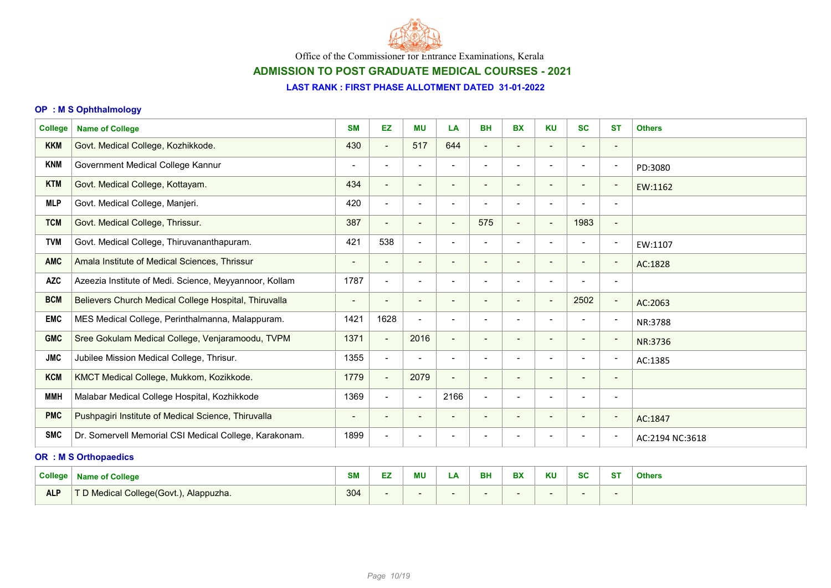

# ADMISSION TO POST GRADUATE MEDICAL COURSES - 2021

#### LAST RANK : FIRST PHASE ALLOTMENT DATED 31-01-2022

### OP : M S Ophthalmology

| <b>College</b><br><b>Name of College</b>               | <b>SM</b>                | <b>EZ</b>                | <b>MU</b>                | LA                       | <b>BH</b>                | <b>BX</b>                | <b>KU</b>                    | <b>SC</b>                | <b>ST</b>                | <b>Others</b>   |
|--------------------------------------------------------|--------------------------|--------------------------|--------------------------|--------------------------|--------------------------|--------------------------|------------------------------|--------------------------|--------------------------|-----------------|
| Govt. Medical College, Kozhikkode.                     | 430                      | $\blacksquare$           | 517                      | 644                      | $\blacksquare$           | $\overline{\phantom{a}}$ | $\qquad \qquad \blacksquare$ |                          | $\overline{\phantom{a}}$ |                 |
| Government Medical College Kannur                      | $\overline{\phantom{a}}$ | $\overline{\phantom{a}}$ | $\overline{\phantom{a}}$ | $\overline{\phantom{0}}$ | $\overline{\phantom{a}}$ | $\blacksquare$           | $\blacksquare$               | $\blacksquare$           | $\overline{\phantom{a}}$ | PD:3080         |
| Govt. Medical College, Kottayam.                       | 434                      | $\blacksquare$           | $\overline{\phantom{a}}$ | $\overline{\phantom{a}}$ | $\overline{\phantom{a}}$ | $\blacksquare$           | $\overline{\phantom{a}}$     | $\overline{\phantom{a}}$ | $\overline{\phantom{a}}$ | EW:1162         |
| Govt. Medical College, Manjeri.                        | 420                      | $\blacksquare$           | $\overline{\phantom{0}}$ | $\overline{\phantom{0}}$ |                          | $\overline{\phantom{a}}$ | $\overline{\phantom{0}}$     |                          | $\overline{\phantom{a}}$ |                 |
| Govt. Medical College, Thrissur.                       | 387                      | $\overline{\phantom{a}}$ | $\overline{\phantom{a}}$ | $\blacksquare$           | 575                      | $\overline{\phantom{a}}$ | $\blacksquare$               | 1983                     | $\overline{\phantom{a}}$ |                 |
| Govt. Medical College, Thiruvananthapuram.             | 421                      | 538                      | $\blacksquare$           | $\overline{\phantom{a}}$ | $\overline{\phantom{a}}$ | $\overline{\phantom{a}}$ | $\overline{\phantom{a}}$     | $\overline{\phantom{a}}$ | $\overline{\phantom{a}}$ | EW:1107         |
| Amala Institute of Medical Sciences, Thrissur          |                          | $\blacksquare$           | $\overline{\phantom{a}}$ | ٠                        |                          |                          | $\qquad \qquad \blacksquare$ |                          | $\overline{\phantom{a}}$ | AC:1828         |
| Azeezia Institute of Medi. Science, Meyyannoor, Kollam | 1787                     | $\blacksquare$           | $\overline{\phantom{a}}$ | Ē,                       | $\overline{\phantom{a}}$ | $\blacksquare$           | $\blacksquare$               | $\overline{\phantom{a}}$ | $\overline{\phantom{a}}$ |                 |
| Believers Church Medical College Hospital, Thiruvalla  | $\overline{\phantom{a}}$ | $\overline{\phantom{a}}$ | $\overline{\phantom{a}}$ | $\overline{\phantom{a}}$ | $\overline{\phantom{a}}$ | $\overline{\phantom{a}}$ | $\overline{\phantom{a}}$     | 2502                     | $\overline{\phantom{a}}$ | AC:2063         |
| MES Medical College, Perinthalmanna, Malappuram.       | 1421                     | 1628                     | $\overline{\phantom{a}}$ | $\blacksquare$           | $\blacksquare$           | $\overline{\phantom{a}}$ | $\blacksquare$               | $\overline{\phantom{0}}$ | $\overline{\phantom{a}}$ | NR:3788         |
| Sree Gokulam Medical College, Venjaramoodu, TVPM       | 1371                     | $\blacksquare$           | 2016                     | $\blacksquare$           | -                        | $\overline{\phantom{a}}$ | $\overline{\phantom{0}}$     | $\overline{\phantom{a}}$ | $\overline{\phantom{a}}$ | NR:3736         |
| Jubilee Mission Medical College, Thrisur.              | 1355                     | $\blacksquare$           | $\blacksquare$           | $\overline{\phantom{a}}$ | $\blacksquare$           | $\overline{\phantom{a}}$ | $\overline{\phantom{a}}$     | $\blacksquare$           | $\overline{\phantom{a}}$ | AC:1385         |
| KMCT Medical College, Mukkom, Kozikkode.               | 1779                     | $\blacksquare$           | 2079                     | $\overline{\phantom{a}}$ |                          |                          | $\qquad \qquad \blacksquare$ |                          | $\overline{\phantom{a}}$ |                 |
| Malabar Medical College Hospital, Kozhikkode           | 1369                     | $\blacksquare$           | $\overline{\phantom{a}}$ | 2166                     | $\blacksquare$           | $\overline{\phantom{a}}$ | $\overline{\phantom{a}}$     | $\overline{\phantom{a}}$ | $\overline{\phantom{a}}$ |                 |
| Pushpagiri Institute of Medical Science, Thiruvalla    | $\blacksquare$           | $\overline{\phantom{a}}$ | $\blacksquare$           | $\overline{\phantom{a}}$ | $\qquad \qquad$          | $\overline{\phantom{a}}$ | $\overline{\phantom{a}}$     | $\overline{\phantom{a}}$ | $\overline{\phantom{a}}$ | AC:1847         |
| Dr. Somervell Memorial CSI Medical College, Karakonam. | 1899                     | $\overline{\phantom{a}}$ |                          |                          |                          |                          | ۰                            |                          | $\overline{\phantom{a}}$ | AC:2194 NC:3618 |
|                                                        |                          |                          |                          |                          |                          |                          |                              |                          |                          |                 |

### OR : M S Orthopaedics

| <b>College</b> | Name of College                                  | <b>SM</b> | وسامح<br>-<br>-- | <b>MU</b> | - - | <b>BH</b> | <b>DV</b><br>DЛ | <b>KU</b> | 00<br>Ju | $_{\text{c}}$ | <b>Others</b> |
|----------------|--------------------------------------------------|-----------|------------------|-----------|-----|-----------|-----------------|-----------|----------|---------------|---------------|
| <b>ALP</b>     | <b>D</b> Medical College(Govt.),<br>, Alappuzha. | 304       |                  |           |     |           |                 |           |          |               |               |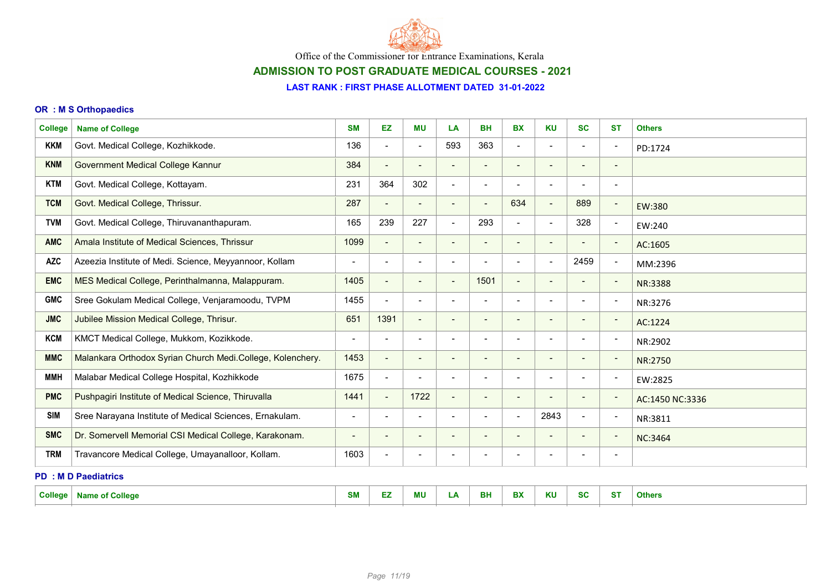

# ADMISSION TO POST GRADUATE MEDICAL COURSES - 2021

#### LAST RANK : FIRST PHASE ALLOTMENT DATED 31-01-2022

#### OR : M S Orthopaedics

| <b>College</b> | <b>Name of College</b>                                     | <b>SM</b>                | EZ                           | <b>MU</b>                | LA                           | <b>BH</b>                | <b>BX</b>                | <b>KU</b>                | <b>SC</b>                | <b>ST</b>                | <b>Others</b>   |  |
|----------------|------------------------------------------------------------|--------------------------|------------------------------|--------------------------|------------------------------|--------------------------|--------------------------|--------------------------|--------------------------|--------------------------|-----------------|--|
| <b>KKM</b>     | Govt. Medical College, Kozhikkode.                         | 136                      | $\overline{\phantom{a}}$     | $\overline{\phantom{a}}$ | 593                          | 363                      | $\blacksquare$           | $\overline{\phantom{a}}$ | $\overline{\phantom{a}}$ | $\overline{\phantom{a}}$ | PD:1724         |  |
| <b>KNM</b>     | Government Medical College Kannur                          | 384                      | $\overline{\phantom{a}}$     | $\overline{\phantom{0}}$ | $\overline{\phantom{0}}$     |                          |                          | $\overline{\phantom{a}}$ |                          | $\qquad \qquad$          |                 |  |
| <b>KTM</b>     | Govt. Medical College, Kottayam.                           | 231                      | 364                          | 302                      | $\overline{\phantom{a}}$     |                          | $\blacksquare$           | $\overline{\phantom{a}}$ | $\overline{\phantom{a}}$ | $\overline{\phantom{a}}$ |                 |  |
| <b>TCM</b>     | Govt. Medical College, Thrissur.                           | 287                      | $\blacksquare$               | $\blacksquare$           | $\blacksquare$               | $\overline{\phantom{a}}$ | 634                      | $\blacksquare$           | 889                      | $\overline{a}$           | EW:380          |  |
| <b>TVM</b>     | Govt. Medical College, Thiruvananthapuram.                 | 165                      | 239                          | 227                      | $\overline{\phantom{a}}$     | 293                      | $\blacksquare$           | $\blacksquare$           | 328                      | $\overline{\phantom{a}}$ | EW:240          |  |
| <b>AMC</b>     | Amala Institute of Medical Sciences, Thrissur              | 1099                     | $\blacksquare$               | $\overline{\phantom{a}}$ | $\overline{\phantom{a}}$     | $\blacksquare$           | $\overline{\phantom{a}}$ | $\overline{\phantom{a}}$ |                          | $\overline{\phantom{a}}$ | AC:1605         |  |
| <b>AZC</b>     | Azeezia Institute of Medi. Science, Meyyannoor, Kollam     |                          | $\blacksquare$               |                          |                              |                          |                          | $\blacksquare$           | 2459                     | $\overline{\phantom{a}}$ | MM:2396         |  |
| <b>EMC</b>     | MES Medical College, Perinthalmanna, Malappuram.           | 1405                     | $\blacksquare$               | $\overline{\phantom{a}}$ | $\overline{\phantom{a}}$     | 1501                     | $\blacksquare$           | $\overline{\phantom{a}}$ | $\overline{\phantom{a}}$ | $\overline{\phantom{a}}$ | NR:3388         |  |
| <b>GMC</b>     | Sree Gokulam Medical College, Venjaramoodu, TVPM           | 1455                     | $\blacksquare$               | $\overline{\phantom{a}}$ | $\overline{\phantom{a}}$     | $\overline{\phantom{a}}$ | $\blacksquare$           | $\blacksquare$           | $\overline{\phantom{a}}$ | $\overline{\phantom{a}}$ | NR:3276         |  |
| <b>JMC</b>     | Jubilee Mission Medical College, Thrisur.                  | 651                      | 1391                         | $\blacksquare$           | $\qquad \qquad \blacksquare$ | $\sim$                   | $\overline{\phantom{a}}$ | $\overline{\phantom{a}}$ | $\overline{\phantom{a}}$ | $\overline{\phantom{a}}$ | AC:1224         |  |
| <b>KCM</b>     | KMCT Medical College, Mukkom, Kozikkode.                   | $\overline{\phantom{a}}$ | $\qquad \qquad \blacksquare$ | $\overline{\phantom{a}}$ |                              |                          | $\blacksquare$           | $\blacksquare$           |                          | $\overline{\phantom{a}}$ | NR:2902         |  |
| <b>MMC</b>     | Malankara Orthodox Syrian Church Medi.College, Kolenchery. | 1453                     | $\blacksquare$               | -                        | $\qquad \qquad$              |                          |                          | $\overline{\phantom{a}}$ |                          | $\qquad \qquad$          | NR:2750         |  |
| <b>MMH</b>     | Malabar Medical College Hospital, Kozhikkode               | 1675                     | $\overline{\phantom{0}}$     | $\overline{\phantom{a}}$ | $\overline{\phantom{a}}$     |                          | $\blacksquare$           | $\blacksquare$           |                          | $\overline{\phantom{a}}$ | EW:2825         |  |
| <b>PMC</b>     | Pushpagiri Institute of Medical Science, Thiruvalla        | 1441                     | $\overline{\phantom{a}}$     | 1722                     | $\overline{\phantom{a}}$     |                          | $\overline{\phantom{a}}$ | $\overline{\phantom{a}}$ | $\overline{\phantom{a}}$ | $\overline{\phantom{a}}$ | AC:1450 NC:3336 |  |
| <b>SIM</b>     | Sree Narayana Institute of Medical Sciences, Ernakulam.    | $\overline{\phantom{a}}$ | $\blacksquare$               | $\overline{\phantom{a}}$ | $\overline{\phantom{a}}$     | $\overline{\phantom{a}}$ | $\blacksquare$           | 2843                     | $\overline{\phantom{a}}$ | $\overline{\phantom{a}}$ | NR:3811         |  |
| <b>SMC</b>     | Dr. Somervell Memorial CSI Medical College, Karakonam.     | $\overline{\phantom{a}}$ | $\overline{\phantom{a}}$     | $\overline{\phantom{a}}$ | $\overline{\phantom{a}}$     |                          |                          | $\overline{\phantom{a}}$ |                          | $\overline{\phantom{a}}$ | NC:3464         |  |
| <b>TRM</b>     | Travancore Medical College, Umayanalloor, Kollam.          | 1603                     | $\qquad \qquad \blacksquare$ |                          |                              |                          |                          | $\blacksquare$           |                          | $\overline{\phantom{0}}$ |                 |  |
|                | <b>PD: MD Paediatrics</b>                                  |                          |                              |                          |                              |                          |                          |                          |                          |                          |                 |  |
|                | College   Name of College                                  | <b>SM</b>                | EZ.                          | <b>MU</b>                | LA                           | <b>BH</b>                | <b>BX</b>                | <b>KU</b>                | <b>SC</b>                | <b>ST</b>                | <b>Others</b>   |  |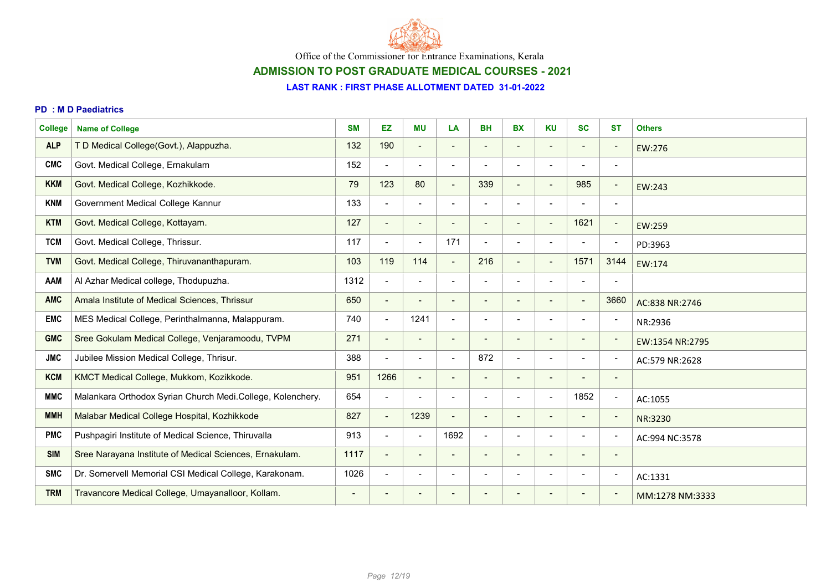

## ADMISSION TO POST GRADUATE MEDICAL COURSES - 2021

#### LAST RANK : FIRST PHASE ALLOTMENT DATED 31-01-2022

#### PD : M D Paediatrics

| <b>College</b> | <b>Name of College</b>                                     | <b>SM</b>                | <b>EZ</b>                | <b>MU</b>                | LA                       | <b>BH</b>                | <b>BX</b>                | <b>KU</b>                | <b>SC</b>                                                                                                                                                    | <b>ST</b>                | <b>Others</b>   |
|----------------|------------------------------------------------------------|--------------------------|--------------------------|--------------------------|--------------------------|--------------------------|--------------------------|--------------------------|--------------------------------------------------------------------------------------------------------------------------------------------------------------|--------------------------|-----------------|
| <b>ALP</b>     | T D Medical College(Govt.), Alappuzha.                     | 132                      | 190                      | $\overline{\phantom{a}}$ |                          |                          |                          | $\overline{\phantom{a}}$ |                                                                                                                                                              | $\qquad \qquad$          | EW:276          |
| <b>CMC</b>     | Govt. Medical College, Ernakulam                           | 152                      | $\blacksquare$           | $\overline{\phantom{0}}$ | $\overline{\phantom{0}}$ |                          |                          | $\overline{\phantom{a}}$ |                                                                                                                                                              | $\overline{\phantom{a}}$ |                 |
| <b>KKM</b>     | Govt. Medical College, Kozhikkode.                         | 79                       | 123                      | 80                       | $\overline{\phantom{a}}$ | 339                      | $\blacksquare$           | $\overline{\phantom{a}}$ | 985                                                                                                                                                          | $\overline{a}$           | EW:243          |
| <b>KNM</b>     | Government Medical College Kannur                          | 133                      | $\blacksquare$           | $\blacksquare$           | $\blacksquare$           |                          | $\blacksquare$           | $\blacksquare$           | $\overline{\phantom{a}}$                                                                                                                                     | $\overline{\phantom{a}}$ |                 |
| <b>KTM</b>     | Govt. Medical College, Kottayam.                           | 127                      | $\blacksquare$           | $\blacksquare$           |                          |                          |                          | $\blacksquare$           | 1621                                                                                                                                                         | $\overline{\phantom{a}}$ | EW:259          |
| <b>TCM</b>     | Govt. Medical College, Thrissur.                           | 117                      | $\blacksquare$           | $\overline{\phantom{a}}$ | 171                      |                          |                          | $\overline{\phantom{a}}$ |                                                                                                                                                              | $\overline{\phantom{a}}$ | PD:3963         |
| <b>TVM</b>     | Govt. Medical College, Thiruvananthapuram.                 | 103                      | 119                      | 114                      | $\blacksquare$           | 216                      | $\blacksquare$           | $\overline{\phantom{a}}$ | 1571                                                                                                                                                         | 3144                     | EW:174          |
| <b>AAM</b>     | Al Azhar Medical college, Thodupuzha.                      | 1312                     | $\blacksquare$           | $\overline{\phantom{a}}$ | $\overline{\phantom{0}}$ |                          | $\blacksquare$           | $\blacksquare$           | $\overline{\phantom{a}}$                                                                                                                                     | $\overline{\phantom{0}}$ |                 |
| <b>AMC</b>     | Amala Institute of Medical Sciences, Thrissur              | 650                      | $\overline{\phantom{a}}$ | $\overline{\phantom{0}}$ | $\overline{\phantom{0}}$ |                          | $\overline{\phantom{a}}$ | $\overline{\phantom{0}}$ |                                                                                                                                                              | 3660                     | AC:838 NR:2746  |
| <b>EMC</b>     | MES Medical College, Perinthalmanna, Malappuram.           | 740                      | $\blacksquare$           | 1241                     | $\blacksquare$           |                          |                          | $\blacksquare$           |                                                                                                                                                              | $\overline{\phantom{0}}$ | NR:2936         |
| <b>GMC</b>     | Sree Gokulam Medical College, Venjaramoodu, TVPM           | 271                      | $\blacksquare$           | $\overline{\phantom{a}}$ | $\overline{\phantom{a}}$ |                          | $\overline{\phantom{a}}$ | $\overline{\phantom{a}}$ | $\hskip1.6pt\hskip1.6pt\hskip1.6pt\hskip1.6pt\hskip1.6pt\hskip1.6pt\hskip1.6pt\hskip1.6pt\hskip1.6pt\hskip1.6pt\hskip1.6pt\hskip1.6pt\hskip1.6pt\hskip1.6pt$ | $\overline{\phantom{a}}$ | EW:1354 NR:2795 |
| <b>JMC</b>     | Jubilee Mission Medical College, Thrisur.                  | 388                      | $\blacksquare$           | $\overline{\phantom{a}}$ | $\blacksquare$           | 872                      | $\blacksquare$           | $\blacksquare$           | $\overline{\phantom{a}}$                                                                                                                                     | $\overline{\phantom{a}}$ | AC:579 NR:2628  |
| <b>KCM</b>     | KMCT Medical College, Mukkom, Kozikkode.                   | 951                      | 1266                     | $\overline{\phantom{a}}$ | $\overline{\phantom{a}}$ |                          | $\overline{\phantom{a}}$ | $\overline{\phantom{a}}$ |                                                                                                                                                              | $\overline{\phantom{a}}$ |                 |
| <b>MMC</b>     | Malankara Orthodox Syrian Church Medi.College, Kolenchery. | 654                      | $\blacksquare$           | ۰                        | $\blacksquare$           |                          |                          | $\overline{\phantom{a}}$ | 1852                                                                                                                                                         | $\overline{\phantom{a}}$ | AC:1055         |
| <b>MMH</b>     | Malabar Medical College Hospital, Kozhikkode               | 827                      | $\blacksquare$           | 1239                     | $\overline{\phantom{a}}$ | $\overline{\phantom{a}}$ | $\overline{\phantom{a}}$ | $\overline{\phantom{a}}$ | $\overline{\phantom{a}}$                                                                                                                                     | $\overline{\phantom{a}}$ | NR:3230         |
| <b>PMC</b>     | Pushpagiri Institute of Medical Science, Thiruvalla        | 913                      | $\blacksquare$           | $\blacksquare$           | 1692                     | $\blacksquare$           | $\overline{\phantom{a}}$ | $\blacksquare$           | $\overline{\phantom{a}}$                                                                                                                                     | $\overline{\phantom{a}}$ | AC:994 NC:3578  |
| <b>SIM</b>     | Sree Narayana Institute of Medical Sciences, Ernakulam.    | 1117                     | $\overline{\phantom{a}}$ | $\overline{\phantom{a}}$ | $\overline{\phantom{0}}$ |                          | $\overline{\phantom{a}}$ | $\overline{\phantom{a}}$ |                                                                                                                                                              | $\overline{\phantom{a}}$ |                 |
| <b>SMC</b>     | Dr. Somervell Memorial CSI Medical College, Karakonam.     | 1026                     | $\blacksquare$           | $\overline{\phantom{a}}$ | $\overline{\phantom{a}}$ |                          | $\blacksquare$           | $\overline{\phantom{a}}$ | $\blacksquare$                                                                                                                                               | $\overline{a}$           | AC:1331         |
| <b>TRM</b>     | Travancore Medical College, Umayanalloor, Kollam.          | $\overline{\phantom{a}}$ | $\overline{\phantom{a}}$ | $\blacksquare$           | $\overline{\phantom{a}}$ |                          |                          | $\overline{\phantom{a}}$ |                                                                                                                                                              | $\overline{\phantom{a}}$ | MM:1278 NM:3333 |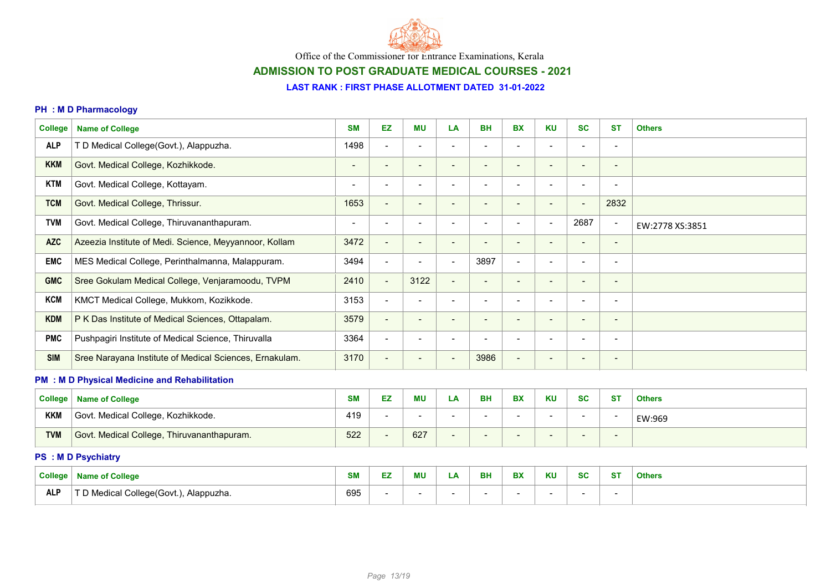

# ADMISSION TO POST GRADUATE MEDICAL COURSES - 2021

#### LAST RANK : FIRST PHASE ALLOTMENT DATED 31-01-2022

#### PH : M D Pharmacology

| <b>College</b> | <b>Name of College</b>                                  | <b>SM</b>                | EZ.                      | <b>MU</b>                | LA                           | <b>BH</b>                | <b>BX</b>                | <b>KU</b>                | <b>SC</b>                | <b>ST</b>                | <b>Others</b>   |
|----------------|---------------------------------------------------------|--------------------------|--------------------------|--------------------------|------------------------------|--------------------------|--------------------------|--------------------------|--------------------------|--------------------------|-----------------|
| <b>ALP</b>     | T D Medical College(Govt.), Alappuzha.                  | 1498                     | $\blacksquare$           | $\overline{\phantom{a}}$ | $\blacksquare$               |                          | $\blacksquare$           | $\overline{\phantom{a}}$ | $\blacksquare$           | $\overline{\phantom{a}}$ |                 |
| <b>KKM</b>     | Govt. Medical College, Kozhikkode.                      | $\blacksquare$           | $\overline{\phantom{a}}$ | $\overline{\phantom{a}}$ | $\overline{\phantom{a}}$     | $\overline{\phantom{a}}$ | $\blacksquare$           | $\overline{\phantom{a}}$ | $\blacksquare$           | $\overline{\phantom{a}}$ |                 |
| <b>KTM</b>     | Govt. Medical College, Kottayam.                        | $\overline{\phantom{a}}$ | $\blacksquare$           | $\overline{\phantom{a}}$ | $\overline{\phantom{a}}$     | $\blacksquare$           | $\blacksquare$           | $\overline{\phantom{a}}$ | $\blacksquare$           | $\overline{\phantom{a}}$ |                 |
| <b>TCM</b>     | Govt. Medical College, Thrissur.                        | 1653                     | $\blacksquare$           | $\overline{\phantom{a}}$ | $\overline{\phantom{a}}$     | $\sim$                   | $\overline{\phantom{0}}$ | $\blacksquare$           | $\overline{\phantom{a}}$ | 2832                     |                 |
| <b>TVM</b>     | Govt. Medical College, Thiruvananthapuram.              | $\blacksquare$           | $\blacksquare$           | $\blacksquare$           | $\blacksquare$               | $\overline{\phantom{a}}$ | $\overline{\phantom{0}}$ | $\blacksquare$           | 2687                     | $\blacksquare$           | EW:2778 XS:3851 |
| <b>AZC</b>     | Azeezia Institute of Medi. Science, Meyyannoor, Kollam  | 3472                     | $\blacksquare$           | $\blacksquare$           | $\overline{\phantom{a}}$     | $\blacksquare$           | $\blacksquare$           | $\overline{\phantom{a}}$ | $\blacksquare$           | $\overline{\phantom{a}}$ |                 |
| <b>EMC</b>     | MES Medical College, Perinthalmanna, Malappuram.        | 3494                     | $\blacksquare$           | $\blacksquare$           | $\overline{\phantom{a}}$     | 3897                     | $\blacksquare$           | $\overline{\phantom{a}}$ | $\overline{\phantom{a}}$ | $\overline{\phantom{a}}$ |                 |
| <b>GMC</b>     | Sree Gokulam Medical College, Venjaramoodu, TVPM        | 2410                     | $\blacksquare$           | 3122                     | $\overline{\phantom{a}}$     |                          | $\blacksquare$           | $\overline{\phantom{0}}$ | $\blacksquare$           | $\overline{\phantom{a}}$ |                 |
| <b>KCM</b>     | KMCT Medical College, Mukkom, Kozikkode.                | 3153                     | $\blacksquare$           | $\overline{\phantom{a}}$ | $\overline{\phantom{a}}$     | $\blacksquare$           | $\overline{\phantom{0}}$ | $\blacksquare$           | $\overline{\phantom{a}}$ | $\overline{\phantom{a}}$ |                 |
| <b>KDM</b>     | P K Das Institute of Medical Sciences, Ottapalam.       | 3579                     | $\blacksquare$           | $\overline{\phantom{a}}$ | $\overline{\phantom{a}}$     | $\qquad \qquad$          | $\blacksquare$           | $\overline{\phantom{a}}$ | $\overline{\phantom{a}}$ | $\overline{\phantom{a}}$ |                 |
| <b>PMC</b>     | Pushpagiri Institute of Medical Science, Thiruvalla     | 3364                     | $\overline{\phantom{a}}$ | $\blacksquare$           | $\overline{\phantom{0}}$     |                          | $\blacksquare$           | $\overline{\phantom{a}}$ |                          | $\overline{\phantom{a}}$ |                 |
| <b>SIM</b>     | Sree Narayana Institute of Medical Sciences, Ernakulam. | 3170                     | $\blacksquare$           | $\overline{\phantom{0}}$ | $\overline{\phantom{0}}$     | 3986                     | $\overline{\phantom{0}}$ | -                        |                          | $\overline{\phantom{a}}$ |                 |
|                | <b>PM : M D Physical Medicine and Rehabilitation</b>    |                          |                          |                          |                              |                          |                          |                          |                          |                          |                 |
| <b>College</b> | <b>Name of College</b>                                  | <b>SM</b>                | EZ                       | <b>MU</b>                | LA                           | <b>BH</b>                | <b>BX</b>                | <b>KU</b>                | <b>SC</b>                | <b>ST</b>                | <b>Others</b>   |
| <b>KKM</b>     | Govt. Medical College, Kozhikkode.                      | 419                      | $\blacksquare$           |                          |                              |                          |                          | $\overline{\phantom{a}}$ | $\overline{\phantom{a}}$ | $\overline{\phantom{a}}$ | EW:969          |
| <b>TVM</b>     | Govt. Medical College, Thiruvananthapuram.              | 522                      | $\overline{\phantom{a}}$ | 627                      | $\qquad \qquad \blacksquare$ |                          |                          |                          |                          | ٠                        |                 |
|                | <b>PS : M D Psychiatry</b>                              |                          |                          |                          |                              |                          |                          |                          |                          |                          |                 |
| <b>College</b> | <b>Name of College</b>                                  | <b>SM</b>                | EZ                       | <b>MU</b>                | LA                           | <b>BH</b>                | <b>BX</b>                | KU                       | <b>SC</b>                | <b>ST</b>                | <b>Others</b>   |

ALP T D Medical College(Govt.), Alappuzha. 695 - - - - - - - -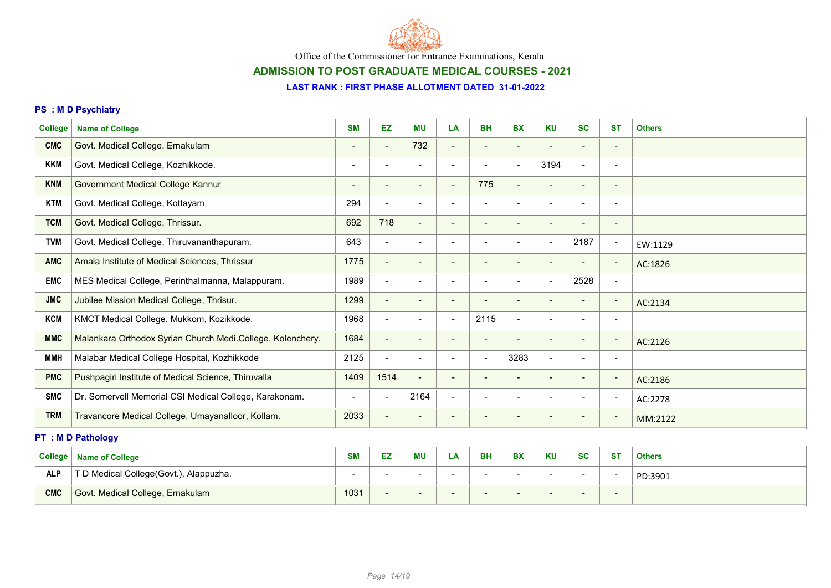

# ADMISSION TO POST GRADUATE MEDICAL COURSES - 2021

### LAST RANK : FIRST PHASE ALLOTMENT DATED 31-01-2022

### PS : M D Psychiatry

| <b>College</b> | <b>Name of College</b>                                     | <b>SM</b>                | EZ                       | <b>MU</b>                | LA                       | <b>BH</b>                | <b>BX</b>                | <b>KU</b>                | <b>SC</b>                | <b>ST</b>                    | <b>Others</b> |
|----------------|------------------------------------------------------------|--------------------------|--------------------------|--------------------------|--------------------------|--------------------------|--------------------------|--------------------------|--------------------------|------------------------------|---------------|
| <b>CMC</b>     | Govt. Medical College, Ernakulam                           | $\blacksquare$           | $\overline{\phantom{a}}$ | 732                      | ÷                        |                          |                          | $\overline{\phantom{a}}$ | $\overline{\phantom{a}}$ | $\qquad \qquad \blacksquare$ |               |
| <b>KKM</b>     | Govt. Medical College, Kozhikkode.                         | $\blacksquare$           | $\blacksquare$           | $\blacksquare$           | $\overline{\phantom{a}}$ | $\overline{\phantom{0}}$ | $\blacksquare$           | 3194                     | $\overline{\phantom{a}}$ | $\overline{\phantom{a}}$     |               |
| <b>KNM</b>     | Government Medical College Kannur                          | $\overline{\phantom{a}}$ | $\overline{\phantom{a}}$ | $\overline{\phantom{a}}$ | $\overline{\phantom{a}}$ | 775                      | $\blacksquare$           | $\overline{\phantom{a}}$ | $\blacksquare$           | $\overline{\phantom{a}}$     |               |
| <b>KTM</b>     | Govt. Medical College, Kottayam.                           | 294                      | $\blacksquare$           | $\blacksquare$           | $\blacksquare$           |                          |                          | $\blacksquare$           | $\overline{\phantom{a}}$ | $\blacksquare$               |               |
| <b>TCM</b>     | Govt. Medical College, Thrissur.                           | 692                      | 718                      | $\overline{\phantom{a}}$ | $\overline{\phantom{a}}$ | $\blacksquare$           | $\overline{\phantom{a}}$ | $\overline{\phantom{a}}$ | $\overline{\phantom{a}}$ | $\overline{\phantom{a}}$     |               |
| <b>TVM</b>     | Govt. Medical College, Thiruvananthapuram.                 | 643                      | $\blacksquare$           | $\overline{\phantom{a}}$ | $\overline{\phantom{a}}$ | $\overline{\phantom{a}}$ | $\overline{\phantom{a}}$ | $\overline{\phantom{a}}$ | 2187                     | $\overline{\phantom{a}}$     | EW:1129       |
| <b>AMC</b>     | Amala Institute of Medical Sciences, Thrissur              | 1775                     | $\overline{\phantom{a}}$ | $\blacksquare$           | $\overline{\phantom{0}}$ | $\overline{\phantom{a}}$ | $\overline{\phantom{a}}$ | $\overline{\phantom{a}}$ |                          | $\overline{\phantom{a}}$     | AC:1826       |
| <b>EMC</b>     | MES Medical College, Perinthalmanna, Malappuram.           | 1989                     | $\blacksquare$           | $\overline{\phantom{a}}$ | $\overline{\phantom{a}}$ |                          | $\overline{\phantom{a}}$ | $\overline{\phantom{a}}$ | 2528                     | $\overline{\phantom{a}}$     |               |
| <b>JMC</b>     | Jubilee Mission Medical College, Thrisur.                  | 1299                     | $\overline{\phantom{a}}$ | $\blacksquare$           | $\overline{\phantom{a}}$ | $\overline{\phantom{a}}$ | $\overline{\phantom{a}}$ | $\blacksquare$           | $\overline{\phantom{a}}$ | $\overline{\phantom{0}}$     | AC:2134       |
| <b>KCM</b>     | KMCT Medical College, Mukkom, Kozikkode.                   | 1968                     | $\blacksquare$           | $\overline{\phantom{a}}$ | $\overline{\phantom{0}}$ | 2115                     | $\blacksquare$           | $\overline{\phantom{a}}$ | $\overline{\phantom{a}}$ | $\overline{\phantom{a}}$     |               |
| <b>MMC</b>     | Malankara Orthodox Syrian Church Medi.College, Kolenchery. | 1684                     | $\blacksquare$           | $\blacksquare$           | $\qquad \qquad$          |                          |                          | $\blacksquare$           | $\overline{\phantom{a}}$ | $\overline{\phantom{a}}$     | AC:2126       |
| <b>MMH</b>     | Malabar Medical College Hospital, Kozhikkode               | 2125                     | $\overline{\phantom{a}}$ | $\blacksquare$           | $\blacksquare$           |                          | 3283                     | $\blacksquare$           |                          | $\qquad \qquad$              |               |
| <b>PMC</b>     | Pushpagiri Institute of Medical Science, Thiruvalla        | 1409                     | 1514                     | $\overline{\phantom{a}}$ | $\overline{\phantom{a}}$ | $\overline{\phantom{a}}$ | $\overline{\phantom{a}}$ | $\overline{\phantom{a}}$ | $\blacksquare$           | $\overline{\phantom{a}}$     | AC:2186       |
| <b>SMC</b>     | Dr. Somervell Memorial CSI Medical College, Karakonam.     | $\overline{\phantom{a}}$ | $\blacksquare$           | 2164                     | $\overline{\phantom{a}}$ |                          | $\overline{\phantom{a}}$ | $\overline{\phantom{a}}$ | $\overline{\phantom{a}}$ | $\overline{\phantom{a}}$     | AC:2278       |
| <b>TRM</b>     | Travancore Medical College, Umayanalloor, Kollam.          | 2033                     | $\overline{\phantom{a}}$ | $\overline{\phantom{a}}$ | $\overline{\phantom{a}}$ |                          | $\overline{\phantom{a}}$ | $\blacksquare$           |                          | $\overline{\phantom{a}}$     | MM:2122       |
|                | <b>PT : M D Pathology</b>                                  |                          |                          |                          |                          |                          |                          |                          |                          |                              |               |
|                |                                                            |                          |                          |                          |                          |                          |                          |                          |                          |                              |               |

| <b>College</b> | <b>Name of College</b>                 | <b>SM</b> | ΜU | ∟Α | <b>BH</b> | <b>DV</b><br>DА | <b>KU</b> | <b>SC</b> | <b>ST</b>                | <b>Others</b> |
|----------------|----------------------------------------|-----------|----|----|-----------|-----------------|-----------|-----------|--------------------------|---------------|
| <b>ALP</b>     | T D Medical College(Govt.), Alappuzha. |           |    |    |           |                 |           |           | $\overline{\phantom{0}}$ | PD:3901       |
| <b>CMC</b>     | Govt. Medical College, Ernakulam       | 1031      |    |    |           |                 |           |           | $\overline{\phantom{a}}$ |               |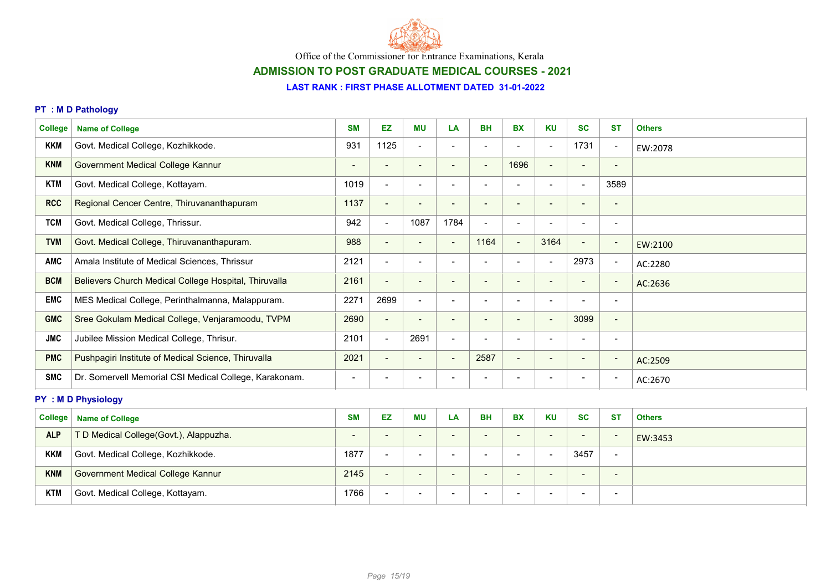

# ADMISSION TO POST GRADUATE MEDICAL COURSES - 2021

#### LAST RANK : FIRST PHASE ALLOTMENT DATED 31-01-2022

### PT : M D Pathology

| <b>College</b> | <b>Name of College</b>                                 | <b>SM</b>                | EZ                       | ΜU                       | LA                       | <b>BH</b>                | <b>BX</b>                | <b>KU</b>                | <b>SC</b>                | <b>ST</b>                | <b>Others</b> |
|----------------|--------------------------------------------------------|--------------------------|--------------------------|--------------------------|--------------------------|--------------------------|--------------------------|--------------------------|--------------------------|--------------------------|---------------|
| <b>KKM</b>     | Govt. Medical College, Kozhikkode.                     | 931                      | 1125                     | $\overline{\phantom{a}}$ | $\overline{\phantom{a}}$ |                          |                          | $\blacksquare$           | 1731                     | $\overline{\phantom{a}}$ | EW:2078       |
| <b>KNM</b>     | Government Medical College Kannur                      | $\overline{\phantom{a}}$ | $\overline{\phantom{a}}$ | $\blacksquare$           | $\overline{\phantom{a}}$ | $\blacksquare$           | 1696                     | $\overline{\phantom{a}}$ | $\overline{\phantom{a}}$ | $\overline{\phantom{a}}$ |               |
| <b>KTM</b>     | Govt. Medical College, Kottayam.                       | 1019                     | $\overline{\phantom{a}}$ | $\overline{\phantom{a}}$ | $\overline{\phantom{a}}$ |                          |                          | $\overline{\phantom{a}}$ | $\overline{\phantom{a}}$ | 3589                     |               |
| <b>RCC</b>     | Regional Cencer Centre, Thiruvananthapuram             | 1137                     | $\blacksquare$           | $\blacksquare$           | $\overline{\phantom{a}}$ |                          | $\qquad \qquad$          | $\overline{\phantom{a}}$ | $\qquad \qquad$          | $\qquad \qquad$          |               |
| <b>TCM</b>     | Govt. Medical College, Thrissur.                       | 942                      | $\blacksquare$           | 1087                     | 1784                     | $\blacksquare$           | $\blacksquare$           | $\overline{\phantom{a}}$ |                          | $\blacksquare$           |               |
| <b>TVM</b>     | Govt. Medical College, Thiruvananthapuram.             | 988                      | $\blacksquare$           | $\overline{\phantom{a}}$ | $\overline{\phantom{a}}$ | 1164                     | $\blacksquare$           | 3164                     | $\blacksquare$           | $\overline{\phantom{a}}$ | EW:2100       |
| <b>AMC</b>     | Amala Institute of Medical Sciences, Thrissur          | 2121                     | $\blacksquare$           | $\blacksquare$           | $\overline{\phantom{a}}$ |                          | $\overline{\phantom{0}}$ | $\overline{\phantom{a}}$ | 2973                     | $\overline{\phantom{a}}$ | AC:2280       |
| <b>BCM</b>     | Believers Church Medical College Hospital, Thiruvalla  | 2161                     | $\overline{\phantom{a}}$ | $\blacksquare$           | $\overline{\phantom{0}}$ |                          | $\overline{\phantom{0}}$ | $\overline{\phantom{a}}$ | $\blacksquare$           | $\overline{\phantom{a}}$ | AC:2636       |
| <b>EMC</b>     | MES Medical College, Perinthalmanna, Malappuram.       | 2271                     | 2699                     | $\overline{\phantom{a}}$ | $\overline{\phantom{a}}$ |                          |                          | $\overline{\phantom{a}}$ |                          | $\overline{\phantom{a}}$ |               |
| <b>GMC</b>     | Sree Gokulam Medical College, Venjaramoodu, TVPM       | 2690                     | $\overline{\phantom{a}}$ | $\blacksquare$           | $\overline{\phantom{a}}$ | $\qquad \qquad$          | $\blacksquare$           | $\overline{\phantom{a}}$ | 3099                     | $\overline{\phantom{a}}$ |               |
| <b>JMC</b>     | Jubilee Mission Medical College, Thrisur.              | 2101                     | $\overline{\phantom{a}}$ | 2691                     | $\overline{\phantom{a}}$ | $\overline{\phantom{0}}$ | $\overline{\phantom{a}}$ | $\overline{\phantom{a}}$ | $\qquad \qquad$          | $\overline{\phantom{a}}$ |               |
| <b>PMC</b>     | Pushpagiri Institute of Medical Science, Thiruvalla    | 2021                     | $\overline{\phantom{a}}$ | $\overline{\phantom{a}}$ | <b>.</b>                 | 2587                     | $\overline{\phantom{0}}$ | $\overline{\phantom{a}}$ | $\blacksquare$           | $\overline{\phantom{a}}$ | AC:2509       |
| <b>SMC</b>     | Dr. Somervell Memorial CSI Medical College, Karakonam. | $\,$                     | $\overline{\phantom{a}}$ | $\overline{\phantom{0}}$ | $\overline{\phantom{0}}$ |                          |                          | $\overline{\phantom{a}}$ | $\overline{\phantom{a}}$ | $\overline{\phantom{a}}$ | AC:2670       |

### PY : M D Physiology

| <b>College</b> | <b>Name of College</b>                 | <b>SM</b>                | EZ                       | <b>MU</b>                | LA  | <b>BH</b>                | <b>BX</b>                | <b>KU</b>                | <b>SC</b>                | <b>ST</b>                | <b>Others</b> |
|----------------|----------------------------------------|--------------------------|--------------------------|--------------------------|-----|--------------------------|--------------------------|--------------------------|--------------------------|--------------------------|---------------|
| <b>ALP</b>     | T D Medical College(Govt.), Alappuzha. | $\overline{\phantom{0}}$ | $\overline{\phantom{0}}$ | $\overline{\phantom{0}}$ | -   | $\overline{\phantom{0}}$ | $\overline{\phantom{0}}$ | $\overline{\phantom{0}}$ | $\overline{\phantom{0}}$ | $\overline{\phantom{a}}$ | EW:3453       |
| <b>KKM</b>     | Govt. Medical College, Kozhikkode.     | 1877                     | $\overline{\phantom{0}}$ | $\overline{\phantom{0}}$ | -   |                          | $\overline{\phantom{a}}$ | $\overline{\phantom{0}}$ | 3457                     | $\overline{\phantom{a}}$ |               |
| <b>KNM</b>     | Government Medical College Kannur      | 2145                     | $\sim$                   | $\overline{\phantom{0}}$ | . . | $\overline{\phantom{0}}$ | $\overline{\phantom{0}}$ | $\overline{\phantom{0}}$ | $\sim$                   | $\overline{\phantom{0}}$ |               |
| KTM            | Govt. Medical College, Kottayam.       | 1766                     | $\overline{\phantom{a}}$ | $\overline{\phantom{0}}$ | - - |                          | $\overline{\phantom{a}}$ | . .                      | $\overline{\phantom{0}}$ | $\overline{\phantom{a}}$ |               |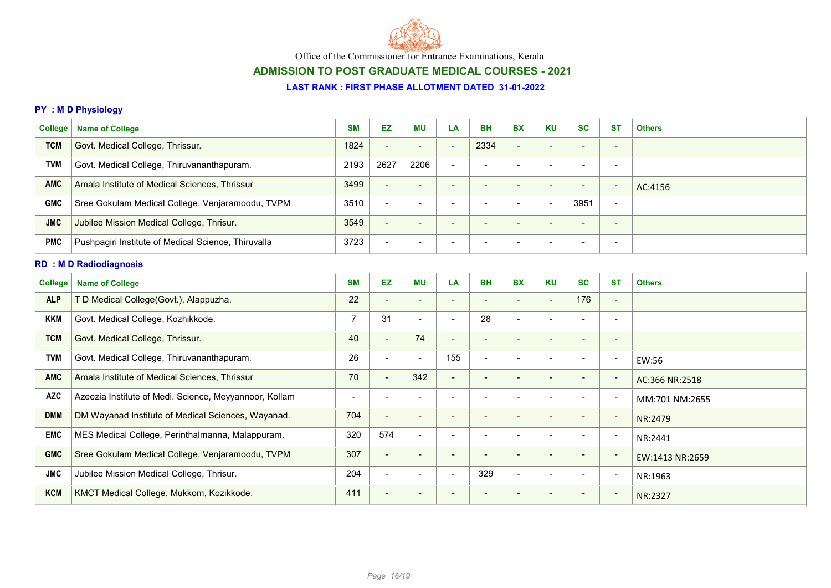

# ADMISSION TO POST GRADUATE MEDICAL COURSES - 2021

### LAST RANK : FIRST PHASE ALLOTMENT DATED 31-01-2022

### PY : M D Physiology

| <b>College</b> | <b>Name of College</b>                                 | <b>SM</b>      | EZ                       | <b>MU</b>                    | LA                       | <b>BH</b>                | <b>BX</b>                | <b>KU</b>                | <b>SC</b>                | <b>ST</b>                    | <b>Others</b>   |
|----------------|--------------------------------------------------------|----------------|--------------------------|------------------------------|--------------------------|--------------------------|--------------------------|--------------------------|--------------------------|------------------------------|-----------------|
| <b>TCM</b>     | Govt. Medical College, Thrissur.                       | 1824           | $\overline{\phantom{a}}$ | $\qquad \qquad \blacksquare$ | $\overline{\phantom{a}}$ | 2334                     | $\overline{\phantom{a}}$ | $\blacksquare$           |                          | $\qquad \qquad \blacksquare$ |                 |
| <b>TVM</b>     | Govt. Medical College, Thiruvananthapuram.             | 2193           | 2627                     | 2206                         | $\overline{\phantom{a}}$ |                          | $\overline{\phantom{a}}$ | $\overline{\phantom{a}}$ | $\overline{\phantom{a}}$ | $\overline{\phantom{a}}$     |                 |
| <b>AMC</b>     | Amala Institute of Medical Sciences, Thrissur          | 3499           | $\sim$                   | $\overline{a}$               | $\overline{\phantom{a}}$ | $\overline{\phantom{a}}$ | $\overline{\phantom{a}}$ | $\overline{\phantom{a}}$ | $\overline{\phantom{a}}$ | $\overline{\phantom{a}}$     | AC:4156         |
| <b>GMC</b>     | Sree Gokulam Medical College, Venjaramoodu, TVPM       | 3510           | $\blacksquare$           | $\blacksquare$               | $\overline{\phantom{0}}$ | $\overline{\phantom{a}}$ | $\overline{\phantom{a}}$ | $\blacksquare$           | 3951                     | $\blacksquare$               |                 |
| <b>JMC</b>     | Jubilee Mission Medical College, Thrisur.              | 3549           | $\blacksquare$           | $\overline{\phantom{0}}$     | $\overline{\phantom{a}}$ |                          | $\overline{\phantom{a}}$ | $\overline{\phantom{a}}$ |                          | $\overline{\phantom{a}}$     |                 |
| <b>PMC</b>     | Pushpagiri Institute of Medical Science, Thiruvalla    | 3723           | $\blacksquare$           | $\overline{a}$               |                          |                          | $\overline{\phantom{a}}$ | $\overline{\phantom{a}}$ |                          | $\overline{\phantom{a}}$     |                 |
|                | <b>RD : M D Radiodiagnosis</b>                         |                |                          |                              |                          |                          |                          |                          |                          |                              |                 |
| <b>College</b> | <b>Name of College</b>                                 | <b>SM</b>      | <b>EZ</b>                | ΜU                           | LA                       | <b>BH</b>                | <b>BX</b>                | <b>KU</b>                | <b>SC</b>                | <b>ST</b>                    | <b>Others</b>   |
| <b>ALP</b>     | T D Medical College(Govt.), Alappuzha.                 | 22             | $\overline{\phantom{a}}$ | $\overline{\phantom{0}}$     | $\overline{\phantom{a}}$ |                          |                          | $\overline{\phantom{a}}$ | 176                      | $\overline{\phantom{a}}$     |                 |
| <b>KKM</b>     | Govt. Medical College, Kozhikkode.                     | 7              | 31                       | $\overline{\phantom{a}}$     | $\overline{\phantom{a}}$ | 28                       | $\overline{\phantom{a}}$ | $\overline{\phantom{a}}$ | $\overline{\phantom{a}}$ | $\overline{\phantom{a}}$     |                 |
| <b>TCM</b>     | Govt. Medical College, Thrissur.                       | 40             | $\blacksquare$           | 74                           | $\overline{\phantom{a}}$ | $\overline{\phantom{a}}$ | $\blacksquare$           | $\overline{\phantom{a}}$ | $\overline{\phantom{a}}$ | $\overline{\phantom{a}}$     |                 |
| <b>TVM</b>     | Govt. Medical College, Thiruvananthapuram.             | 26             | $\blacksquare$           | $\overline{\phantom{a}}$     | 155                      | $\blacksquare$           | $\overline{\phantom{a}}$ | $\blacksquare$           | $\overline{\phantom{a}}$ | $\overline{\phantom{a}}$     | EW:56           |
| <b>AMC</b>     | Amala Institute of Medical Sciences, Thrissur          | 70             | $\overline{\phantom{a}}$ | 342                          | $\blacksquare$           | $\blacksquare$           | $\overline{\phantom{a}}$ | $\overline{\phantom{a}}$ | $\overline{\phantom{a}}$ | $\overline{\phantom{a}}$     | AC:366 NR:2518  |
| <b>AZC</b>     | Azeezia Institute of Medi. Science, Meyyannoor, Kollam | $\blacksquare$ | $\blacksquare$           | $\qquad \qquad \blacksquare$ | $\overline{\phantom{0}}$ |                          |                          | $\overline{\phantom{a}}$ |                          | $\overline{\phantom{a}}$     | MM:701 NM:2655  |
| <b>DMM</b>     | DM Wayanad Institute of Medical Sciences, Wayanad.     | 704            | $\blacksquare$           | $\overline{\phantom{a}}$     | $\overline{\phantom{a}}$ | $\overline{\phantom{a}}$ | $\overline{\phantom{a}}$ | $\overline{\phantom{a}}$ |                          | $\overline{a}$               | NR:2479         |
| <b>EMC</b>     | MES Medical College, Perinthalmanna, Malappuram.       | 320            | 574                      | $\blacksquare$               | $\overline{\phantom{a}}$ |                          |                          | $\blacksquare$           |                          | $\overline{\phantom{a}}$     | NR:2441         |
| <b>GMC</b>     | Sree Gokulam Medical College, Venjaramoodu, TVPM       | 307            | $\overline{\phantom{a}}$ | $\overline{\phantom{a}}$     | $\overline{\phantom{a}}$ |                          | $\blacksquare$           | $\overline{\phantom{a}}$ | $\overline{\phantom{a}}$ | $\overline{\phantom{a}}$     | EW:1413 NR:2659 |
| <b>JMC</b>     | Jubilee Mission Medical College, Thrisur.              | 204            | $\blacksquare$           | $\qquad \qquad \blacksquare$ | $\overline{\phantom{0}}$ | 329                      | $\overline{\phantom{a}}$ | $\overline{\phantom{a}}$ |                          | $\overline{\phantom{a}}$     | NR:1963         |
| <b>KCM</b>     | KMCT Medical College, Mukkom, Kozikkode.               | 411            | $\overline{\phantom{a}}$ |                              |                          |                          |                          | $\overline{\phantom{a}}$ |                          | $\overline{\phantom{a}}$     | NR:2327         |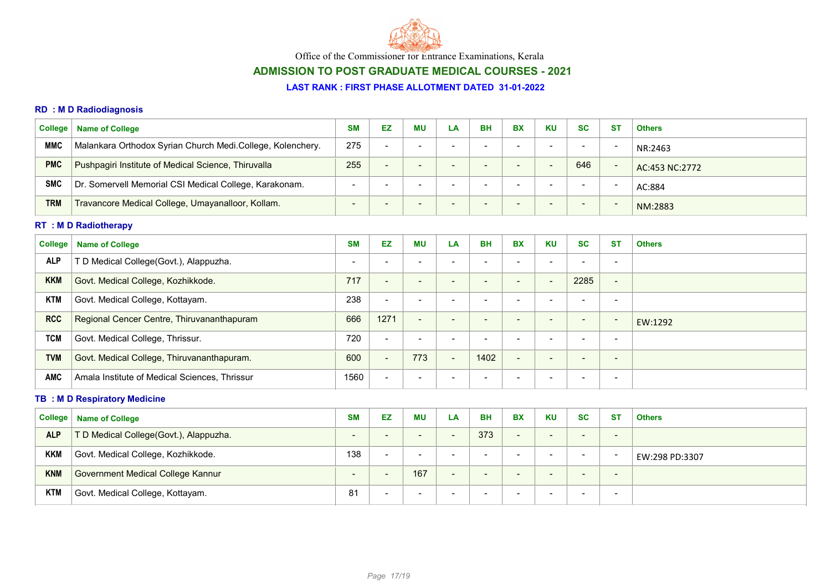

# ADMISSION TO POST GRADUATE MEDICAL COURSES - 2021

#### LAST RANK : FIRST PHASE ALLOTMENT DATED 31-01-2022

### RD : M D Radiodiagnosis

| <b>College</b> | <b>Name of College</b>                                     | <b>SM</b>                | EZ                       | <b>MU</b>                | LA | BH             | <b>BX</b>                | <b>KU</b>                | <b>SC</b>                | <b>ST</b>                | <b>Others</b>  |
|----------------|------------------------------------------------------------|--------------------------|--------------------------|--------------------------|----|----------------|--------------------------|--------------------------|--------------------------|--------------------------|----------------|
| <b>MMC</b>     | Malankara Orthodox Syrian Church Medi.College, Kolenchery. | 275                      | $\overline{\phantom{a}}$ | -                        | -  | -              | $\sim$                   |                          | $\overline{\phantom{a}}$ |                          | NR:2463        |
| <b>PMC</b>     | Pushpagiri Institute of Medical Science, Thiruvalla        | 255                      | $\overline{\phantom{0}}$ | $\overline{\phantom{0}}$ | -  | $\blacksquare$ | $\sim$                   | $\overline{\phantom{0}}$ | 646                      | $\overline{\phantom{0}}$ | AC:453 NC:2772 |
| <b>SMC</b>     | Dr. Somervell Memorial CSI Medical College, Karakonam.     | $\overline{\phantom{a}}$ |                          | -                        | -  | -              |                          | -                        | $\overline{\phantom{a}}$ | -                        | AC:884         |
| <b>TRM</b>     | Travancore Medical College, Umayanalloor, Kollam.          | $\overline{\phantom{0}}$ | $\overline{\phantom{a}}$ | $\overline{\phantom{0}}$ | -  | -              | $\overline{\phantom{0}}$ | $\overline{\phantom{0}}$ | $\sim$                   | $\overline{\phantom{0}}$ | NM:2883        |

### RT : M D Radiotherapy

| College    | <b>Name of College</b>                        | <b>SM</b>                | <b>EZ</b>                | ΜU                       | LA                       | <b>BH</b> | <b>BX</b>                | <b>KU</b>                | <b>SC</b>                | <b>ST</b>                | <b>Others</b> |
|------------|-----------------------------------------------|--------------------------|--------------------------|--------------------------|--------------------------|-----------|--------------------------|--------------------------|--------------------------|--------------------------|---------------|
| <b>ALP</b> | T D Medical College(Govt.), Alappuzha.        | $\overline{\phantom{0}}$ | $\overline{\phantom{0}}$ | $\overline{\phantom{0}}$ | $\overline{\phantom{0}}$ |           |                          | $\overline{\phantom{a}}$ |                          | $\overline{\phantom{0}}$ |               |
| <b>KKM</b> | Govt. Medical College, Kozhikkode.            | 717                      | $\qquad \qquad$          | $\overline{\phantom{0}}$ | $\overline{\phantom{a}}$ |           | $\overline{\phantom{0}}$ | $\overline{\phantom{0}}$ | 2285                     | $\overline{\phantom{a}}$ |               |
| <b>KTM</b> | Govt. Medical College, Kottayam.              | 238                      | $\qquad \qquad$          | $\overline{\phantom{0}}$ | $\overline{\phantom{0}}$ |           | $\blacksquare$           | . .                      | -                        | $\overline{\phantom{a}}$ |               |
| <b>RCC</b> | Regional Cencer Centre, Thiruvananthapuram    | 666                      | 1271                     | $\overline{\phantom{a}}$ | $\overline{\phantom{0}}$ | -         | $\overline{\phantom{0}}$ | $\overline{\phantom{a}}$ | $\overline{\phantom{0}}$ | $\overline{\phantom{a}}$ | EW:1292       |
| <b>TCM</b> | Govt. Medical College, Thrissur.              | 720                      | $\overline{\phantom{a}}$ | $\overline{\phantom{0}}$ | $\overline{\phantom{0}}$ | -         | $\overline{\phantom{0}}$ | $\overline{\phantom{a}}$ | -                        | $\overline{\phantom{0}}$ |               |
| <b>TVM</b> | Govt. Medical College, Thiruvananthapuram.    | 600                      | $\overline{\phantom{a}}$ | 773                      | $\overline{\phantom{a}}$ | 1402      | $\overline{\phantom{0}}$ | $\overline{\phantom{0}}$ | $\overline{\phantom{0}}$ | $\overline{\phantom{0}}$ |               |
| <b>AMC</b> | Amala Institute of Medical Sciences, Thrissur | 1560                     | $\qquad \qquad$          |                          | $\overline{\phantom{a}}$ |           |                          | . .                      | -                        | $\overline{\phantom{a}}$ |               |

### **TB : M D Respiratory Medicine**

| College    | <b>Name of College</b>                   | <b>SM</b> | EZ                       | ΜU                       | LA                       | <b>BH</b>                | <b>BX</b>                | <b>KU</b>                | <b>SC</b>                | <b>ST</b>                | <b>Others</b>  |
|------------|------------------------------------------|-----------|--------------------------|--------------------------|--------------------------|--------------------------|--------------------------|--------------------------|--------------------------|--------------------------|----------------|
| <b>ALP</b> | T D Medical College(Govt.), Alappuzha.   | -         |                          | $\overline{\phantom{0}}$ | $\overline{\phantom{a}}$ | 373                      | $\overline{\phantom{0}}$ | $\overline{\phantom{0}}$ | $\overline{\phantom{0}}$ | $\overline{\phantom{0}}$ |                |
| <b>KKM</b> | Govt. Medical College, Kozhikkode.       | 138       | $\overline{\phantom{0}}$ | $\overline{\phantom{0}}$ | $\sim$                   | $\overline{\phantom{0}}$ |                          | . .                      | $\overline{\phantom{0}}$ | $\overline{\phantom{a}}$ | EW:298 PD:3307 |
| <b>KNM</b> | <b>Government Medical College Kannur</b> |           | $\overline{\phantom{0}}$ | 167                      | $\overline{\phantom{0}}$ | $\overline{\phantom{0}}$ | $\overline{\phantom{0}}$ | $\sim$                   | $\sim$                   | $\qquad \qquad$          |                |
| <b>KTM</b> | Govt. Medical College, Kottayam.         | 81        |                          | $\overline{\phantom{0}}$ | $\sim$                   | $\overline{\phantom{a}}$ |                          | . .                      | -                        | $\overline{\phantom{0}}$ |                |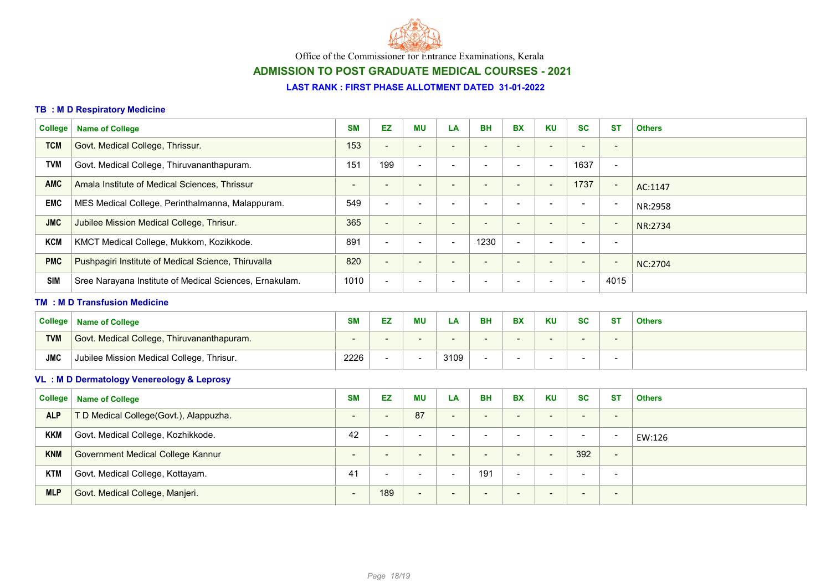

## ADMISSION TO POST GRADUATE MEDICAL COURSES - 2021

### LAST RANK : FIRST PHASE ALLOTMENT DATED 31-01-2022

### TB : M D Respiratory Medicine

| <b>College</b> | <b>Name of College</b>                                  | <b>SM</b>                | EZ                       | <b>MU</b>                | LA                       | <b>BH</b>                    | <b>BX</b>                | <b>KU</b>                | <b>SC</b>                | <b>ST</b>                | <b>Others</b>  |
|----------------|---------------------------------------------------------|--------------------------|--------------------------|--------------------------|--------------------------|------------------------------|--------------------------|--------------------------|--------------------------|--------------------------|----------------|
| <b>TCM</b>     | Govt. Medical College, Thrissur.                        | 153                      | $\overline{\phantom{a}}$ | $\overline{\phantom{a}}$ |                          | $\overline{\phantom{0}}$     | $\blacksquare$           | $\blacksquare$           | $\overline{\phantom{0}}$ | $\overline{\phantom{a}}$ |                |
| <b>TVM</b>     | Govt. Medical College, Thiruvananthapuram.              | 151                      | 199                      | $\blacksquare$           | $\blacksquare$           | $\blacksquare$               | $\overline{\phantom{a}}$ | $\blacksquare$           | 1637                     | $\overline{\phantom{a}}$ |                |
| <b>AMC</b>     | Amala Institute of Medical Sciences, Thrissur           | $\overline{\phantom{a}}$ | $\blacksquare$           | $\overline{\phantom{a}}$ |                          | $\overline{\phantom{a}}$     | $\overline{\phantom{a}}$ | $\overline{\phantom{a}}$ | 1737                     | $\overline{\phantom{a}}$ | AC:1147        |
| <b>EMC</b>     | MES Medical College, Perinthalmanna, Malappuram.        | 549                      | $\overline{\phantom{a}}$ | $\overline{\phantom{a}}$ |                          | $\qquad \qquad \blacksquare$ | $\blacksquare$           | $\overline{\phantom{a}}$ | $\overline{\phantom{0}}$ | $\overline{\phantom{a}}$ | NR:2958        |
| <b>JMC</b>     | Jubilee Mission Medical College, Thrisur.               | 365                      | $\blacksquare$           | $\overline{\phantom{a}}$ | $\overline{\phantom{a}}$ | $\overline{\phantom{0}}$     | $\overline{\phantom{a}}$ | $\blacksquare$           | $\overline{\phantom{a}}$ | $\overline{\phantom{a}}$ | NR:2734        |
| <b>KCM</b>     | KMCT Medical College, Mukkom, Kozikkode.                | 891                      | $\blacksquare$           | $\blacksquare$           | $\overline{\phantom{a}}$ | 1230                         | $\blacksquare$           | $\overline{\phantom{a}}$ | $\blacksquare$           | $\overline{\phantom{a}}$ |                |
| <b>PMC</b>     | Pushpagiri Institute of Medical Science, Thiruvalla     | 820                      | $\blacksquare$           | $\overline{\phantom{a}}$ |                          | $\overline{\phantom{a}}$     | $\blacksquare$           | $\overline{\phantom{a}}$ | $\overline{\phantom{a}}$ | $\overline{\phantom{a}}$ | <b>NC:2704</b> |
| <b>SIM</b>     | Sree Narayana Institute of Medical Sciences, Ernakulam. | 1010                     | $\blacksquare$           |                          |                          | $\overline{\phantom{a}}$     |                          | $\overline{\phantom{a}}$ | $\blacksquare$           | 4015                     |                |
|                | <b>TM : M D Transfusion Medicine</b>                    |                          |                          |                          |                          |                              |                          |                          |                          |                          |                |
| <b>College</b> | <b>Name of College</b>                                  | <b>SM</b>                | EZ                       | MU                       | LA                       | <b>BH</b>                    | <b>BX</b>                | <b>KU</b>                | <b>SC</b>                | <b>ST</b>                | <b>Others</b>  |
| <b>TVM</b>     | Govt. Medical College, Thiruvananthapuram.              |                          |                          |                          |                          |                              |                          | $\overline{\phantom{a}}$ |                          |                          |                |
| <b>JMC</b>     | Jubilee Mission Medical College, Thrisur.               | 2226                     | $\blacksquare$           | $\overline{\phantom{a}}$ | 3109                     | $\blacksquare$               | $\overline{\phantom{a}}$ | $\blacksquare$           | $\overline{\phantom{0}}$ | $\overline{\phantom{a}}$ |                |
|                | VL: MD Dermatology Venereology & Leprosy                |                          |                          |                          |                          |                              |                          |                          |                          |                          |                |
| <b>College</b> | <b>Name of College</b>                                  | <b>SM</b>                | <b>EZ</b>                | <b>MU</b>                | LA                       | <b>BH</b>                    | <b>BX</b>                | <b>KU</b>                | <b>SC</b>                | <b>ST</b>                | <b>Others</b>  |
| <b>ALP</b>     | T D Medical College(Govt.), Alappuzha.                  | $\blacksquare$           | $\blacksquare$           | 87                       | $\blacksquare$           | $\overline{\phantom{a}}$     | $\blacksquare$           | $\blacksquare$           | $\overline{\phantom{a}}$ | $\overline{\phantom{a}}$ |                |
| <b>KKM</b>     | Govt. Medical College, Kozhikkode.                      | 42                       | $\blacksquare$           | $\overline{\phantom{a}}$ |                          | $\blacksquare$               | $\blacksquare$           | $\blacksquare$           | $\blacksquare$           | $\overline{\phantom{a}}$ | EW:126         |
| <b>KNM</b>     | <b>Government Medical College Kannur</b>                | $\blacksquare$           | $\qquad \qquad$          | $\overline{\phantom{a}}$ | $\overline{\phantom{a}}$ | $\overline{\phantom{a}}$     | $\overline{\phantom{a}}$ | $\blacksquare$           | 392                      | $\overline{\phantom{a}}$ |                |
| <b>KTM</b>     |                                                         |                          |                          |                          |                          |                              |                          |                          |                          |                          |                |
|                | Govt. Medical College, Kottayam.                        | 41                       | $\overline{\phantom{a}}$ | $\overline{\phantom{a}}$ | $\overline{\phantom{a}}$ | 191                          | $\blacksquare$           | $\overline{\phantom{a}}$ | $\blacksquare$           | $\overline{\phantom{a}}$ |                |